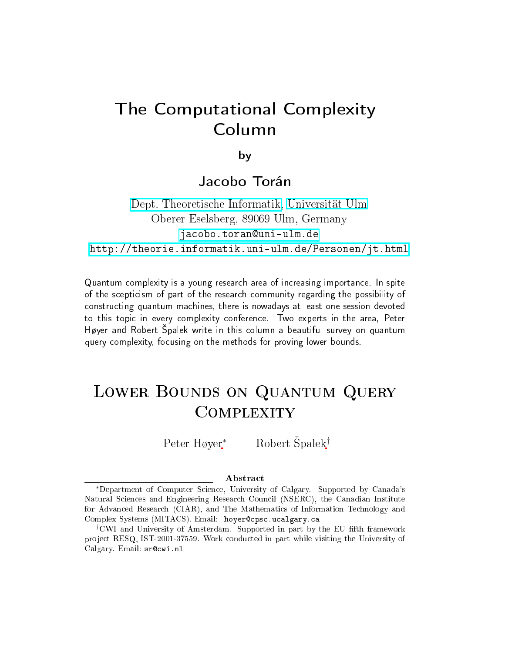# The Computational Complexity Column

by

#### Jacobo Torán

Dept. [Theoretis
he](http://informatik.uni-ulm.de) Informatik, [Universität](http://www.uni-ulm.de) Ulm Oberer Eselsberg, <sup>89069</sup> Ulm, Germany jacobo.toran@uni-ulm.de <http://theorie.informatik.uni-ulm.de/Personen/jt.html>

Quantum omplexity is <sup>a</sup> young resear
h area of in
reasing importan
e. In spite of the s
epti
ism of part of the resear
h ommunity regarding the possibility of onstru
ting quantum ma
hines, there is nowadays at least one session devoted to this topi in every omplexity onferen
e. Two experts in the area, Peter Høyer and Robert palek write in this olumn <sup>a</sup> beautiful survey on quantum query omplexity, fo
using on the methods for proving lower bounds.

#### Lower Bounds on Quantum Query **COMPLEXITY**  $\sim$   $\sim$   $\sim$   $\sim$   $\sim$   $\sim$   $\sim$   $\sim$

Peter Høyer<sup>\*</sup> Robert Špalek<sup>†</sup>

#### **Abstract**

<sup>∗</sup>Department of Computer S
ien
e, University of Calgary. Supported by Canada's Natural Sciences and Engineering Research Council (NSERC), the Canadian Institute for Advan
ed Resear
h (CIAR), and The Mathemati
s of Information Te
hnology and Complex Systems (MITACS). Email: hoyer@cpsc.ucalgary.ca

<sup>&</sup>lt;sup>†</sup>CWI and University of Amsterdam. Supported in part by the EU fifth framework project RESQ, IST-2001-37559. Work conducted in part while visiting the University of Calgary. Email: sr@cwi.nl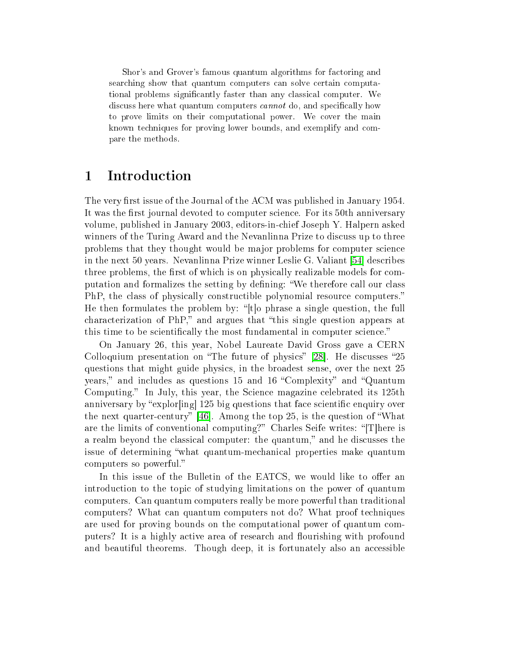Shor's and Grover's famous quantum algorithms for factoring and searching show that quantum computers can solve certain computational problems significantly faster than any classical computer. We discuss here what quantum computers *cannot* do, and specifically how to prove limits on their computational power. We cover the main known te
hniques for proving lower bounds, and exemplify and ompare the methods.

#### 1 Introduction

The very first issue of the Journal of the ACM was published in January 1954. It was the first journal devoted to computer science. For its 50th anniversary volume, published in January 2003, editors-inhief Joseph Y. Halpern asked winners of the Turing Award and the Nevanlinna Prize to discuss up to three problems that they thought would be major problems for computer science in the next 50 years. Nevanlinna Prize winner Leslie G. Valiant [54] describes three problems, the first of which is on physically realizable models for computation and formalizes the setting by defining: "We therefore call our class PhP, the class of physically constructible polynomial resource computers." He then formulates the problem by: " $[t]$ o phrase a single question, the full characterization of PhP," and argues that "this single question appears at this time to be scientifically the most fundamental in computer science."

On January 26, this year, Nobel Laureate David Gross gave a CERN Colloquium presentation on "The future of physics" [28]. He discusses "25 questions that might guide physi
s, in the broadest sense, over the next 25 years," and includes as questions 15 and 16 "Complexity" and "Quantum Computing." In July, this year, the Science magazine celebrated its 125th anniversary by "explor  $\left[\frac{\text{ing}}{\text{ang}}\right]$  125 big questions that face scientific enquiry over the next quarter-century"  $[46]$ . Among the top 25, is the question of "What are the limits of conventional computing?" Charles Seife writes: "[T]here is a realm beyond the classical computer: the quantum," and he discusses the issue of determining "what quantum-mechanical properties make quantum omputers so powerful.

In this issue of the Bulletin of the EATCS, we would like to offer an introduction to the topic of studying limitations on the power of quantum omputers. Can quantum omputers really be more powerful than traditional omputers? What an quantum omputers not do? What proof te
hniques are used for proving bounds on the computational power of quantum computers? It is a highly active area of research and flourishing with profound and beautiful theorems. Though deep, it is fortunately also an accessible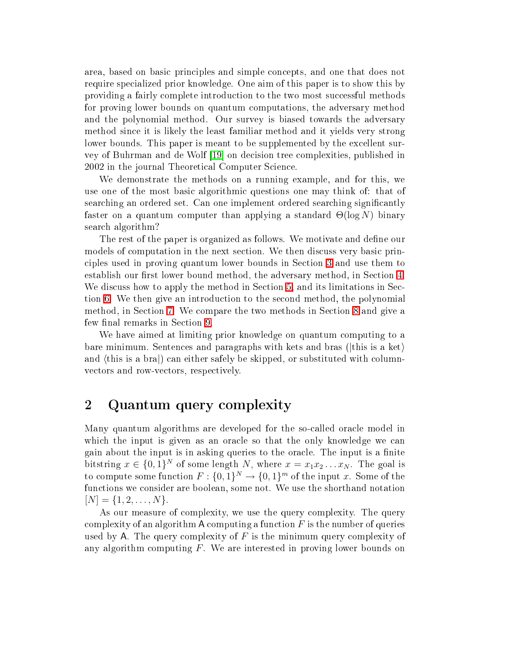area, based on basic principles and simple concepts, and one that does not require spe
ialized prior knowledge. One aim of this paper is to show this by providing a fairly complete introduction to the two most successful methods for proving lower bounds on quantum omputations, the adversary method and the polynomial method. Our survey is biased towards the adversary method sin
e it is likely the least familiar method and it yields very strong lower bounds. This paper is meant to be supplemented by the excellent survey of Buhrman and de Wolf [19] on decision tree complexities, published in 2002 in the journal Theoretical Computer Science.

We demonstrate the methods on a running example, and for this, we use one of the most basi algorithmi questions one may think of: that of searching an ordered set. Can one implement ordered searching significantly faster on a quantum computer than applying a standard  $\Theta(\log N)$  binary sear
h algorithm?

The rest of the paper is organized as follows. We motivate and define our models of computation in the next section. We then discuss very basic priniples used in proving quantum lower bounds in Se
tion [3](#page-5-0) and use them to establish our first lower bound method, the adversary method, in Section [4.](#page-7-0) We discuss how to apply the method in Section [5,](#page-10-0) and its limitations in Sec-tion [6.](#page-13-0) We then give an introduction to the second method, the polynomial method, in Section [7.](#page-16-0) We compare the two methods in Section [8](#page-18-0) and give a few final remarks in Section [9.](#page-21-0)

We have aimed at limiting prior knowledge on quantum computing to a bare minimum. Sentences and paragraphs with kets and bras ( $|$ this is a ket $\rangle$ ) and (this is a bra) can either safely be skipped, or substituted with columnvectors and row-vectors, respectively.

### 2 Quantum query complexity

Many quantum algorithms are developed for the soalled ora
le model in which the input is given as an oracle so that the only knowledge we can gain about the input is in asking queries to the oracle. The input is a finite bitstring  $x \in \{0,1\}^N$  of some length N, where  $x = x_1 x_2 \dots x_N$ . The goal is to compute some function  $F: \{0,1\}^N \to \{0,1\}^m$  of the input x. Some of the fun
tions we onsider are boolean, some not. We use the shorthand notation  $[N] = \{1, 2, \ldots, N\}.$ 

As our measure of complexity, we use the query complexity. The query complexity of an algorithm A computing a function  $F$  is the number of queries used by A. The query complexity of  $F$  is the minimum query complexity of any algorithm computing  $F$ . We are interested in proving lower bounds on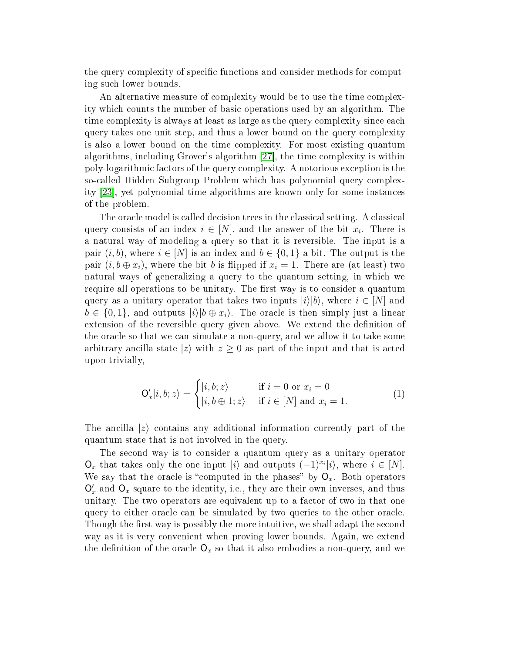the query complexity of specific functions and consider methods for computing su
h lower bounds.

An alternative measure of complexity would be to use the time complexity whi
h ounts the number of basi operations used by an algorithm. The time complexity is always at least as large as the query complexity since each query takes one unit step, and thus a lower bound on the query omplexity is also a lower bound on the time omplexity. For most existing quantum algorithms, including Grover's algorithm  $[27]$ , the time complexity is within poly-logarithmi fa
tors of the query omplexity. A notorious ex
eption is the soalled Hidden Subgroup Problem whi
h has polynomial query omplexity [23], yet polynomial time algorithms are known only for some instances of the problem.

The oracle model is called decision trees in the classical setting. A classical query consists of an index  $i \in [N]$ , and the answer of the bit  $x_i$ . There is a natural way of modeling a query so that it is reversible. The input is a pair  $(i, b)$ , where  $i \in [N]$  is an index and  $b \in \{0, 1\}$  a bit. The output is the pair  $(i, b \oplus x_i)$ , where the bit b is flipped if  $x_i = 1$ . There are (at least) two natural ways of generalizing a query to the quantum setting, in whi
h we require all operations to be unitary. The first way is to consider a quantum query as a unitary operator that takes two inputs  $|i\rangle|b\rangle$ , where  $i \in [N]$  and  $b \in \{0,1\}$ , and outputs  $|i\rangle|b \oplus x_i\rangle$ . The oracle is then simply just a linear extension of the reversible query given above. We extend the definition of the ora
le so that we an simulate a non-query, and we allow it to take some arbitrary ancilla state  $|z\rangle$  with  $z \geq 0$  as part of the input and that is acted upon trivially,

$$
\mathsf{O}'_x|i, b; z\rangle = \begin{cases} |i, b; z\rangle & \text{if } i = 0 \text{ or } x_i = 0\\ |i, b \oplus 1; z\rangle & \text{if } i \in [N] \text{ and } x_i = 1. \end{cases}
$$
(1)

The ancilla  $|z\rangle$  contains any additional information currently part of the quantum state that is not involved in the query.

The second way is to consider a quantum query as a unitary operator  $\mathsf{O}_x$  that takes only the one input  $|i\rangle$  and outputs  $(-1)^{x_i}|i\rangle$ , where  $i \in [N]$ . We say that the oracle is "computed in the phases" by  $O_x$ . Both operators  $\mathsf{O}_x'$  and  $\mathsf{O}_x$  square to the identity, i.e., they are their own inverses, and thus unitary. The two operators are equivalent up to a factor of two in that one query to either ora
le an be simulated by two queries to the other ora
le. Though the first way is possibly the more intuitive, we shall adapt the second way as it is very onvenient when proving lower bounds. Again, we extend the definition of the oracle  $\mathsf{O}_x$  so that it also embodies a non-query, and we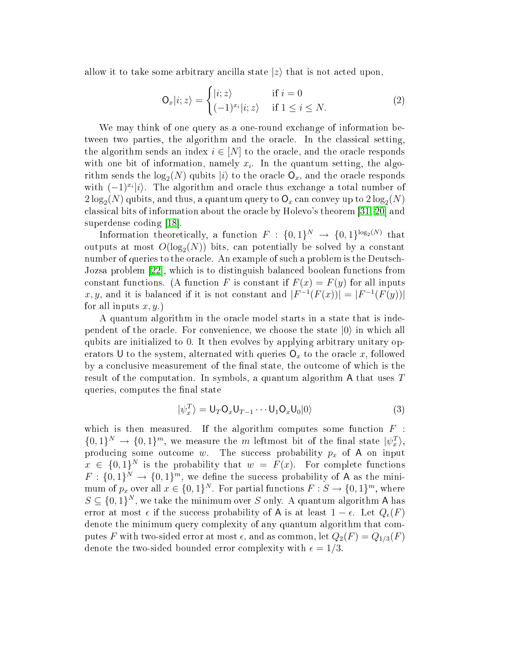allow it to take some arbitrary ancilla state  $|z\rangle$  that is not acted upon,

$$
\mathsf{O}_{x}|i; z\rangle = \begin{cases} |i; z\rangle & \text{if } i = 0\\ (-1)^{x_i}|i; z\rangle & \text{if } 1 \le i \le N. \end{cases}
$$
 (2)

We may think of one query as a one-round exchange of information between two parties, the algorithm and the oracle. In the classical setting, the algorithm sends an index  $i \in [N]$  to the oracle, and the oracle responds with one bit of information, namely  $x_i$ . In the quantum setting, the algorithm sends the  $log_2(N)$  qubits  $|i\rangle$  to the oracle  $\mathsf{O}_x$ , and the oracle responds with  $(-1)^{x_i}|i\rangle$ . The algorithm and oracle thus exchange a total number of  $2\log_2(N)$  qubits, and thus, a quantum query to  $\mathsf{O}_x$  can convey up to  $2\log_2(N)$ classical bits of information about the oracle by Holevo's theorem [\[31,](#page-25-0) 20] and superdense coding [18].

Information theoretically, a function  $F: \{0,1\}^N \to \{0,1\}^{\log_2(N)}$  that outputs at most  $O(\log_2(N))$  bits, can potentially be solved by a constant number of queries to the oracle. An example of such a problem is the Deutsch-Jozsa problem [22], which is to distinguish balanced boolean functions from constant functions. (A function F is constant if  $F(x) = F(y)$  for all inputs x, y, and it is balanced if it is not constant and  $|F^{-1}(F(x))| = |F^{-1}(F(y))|$ for all inputs  $x, y$ .)

A quantum algorithm in the ora
le model starts in a state that is independent of the oracle. For convenience, we choose the state  $|0\rangle$  in which all qubits are initialized to 0. It then evolves by applying arbitrary unitary operators U to the system, alternated with queries  $O_x$  to the oracle x, followed by a conclusive measurement of the final state, the outcome of which is the result of the omputation. In symbols, <sup>a</sup> quantum algorithm A that uses T queries, computes the final state

$$
|\psi_x^T\rangle = \mathsf{U}_T \mathsf{O}_x \mathsf{U}_{T-1} \cdots \mathsf{U}_1 \mathsf{O}_x \mathsf{U}_0 |0\rangle \tag{3}
$$

which is then measured. If the algorithm computes some function  $F$ :  $\{0,1\}^N \to \{0,1\}^m$ , we measure the m leftmost bit of the final state  $|\psi_x^T\rangle$ , producing some outcome w. The success probability  $p_x$  of A on input  $x \in \{0,1\}^N$  is the probability that  $w = F(x)$ . For complete functions  $F: \{0,1\}^N \to \{0,1\}^m$ , we define the success probability of A as the minimum of  $p_x$  over all  $x \in \{0,1\}^N$ . For partial functions  $F : S \to \{0,1\}^m$ , where  $S \subseteq \{0,1\}^N$ , we take the minimum over S only. A quantum algorithm A has error at most  $\epsilon$  if the success probability of A is at least  $1 - \epsilon$ . Let  $Q_{\epsilon}(F)$ denote the minimum query complexity of any quantum algorithm that computes F with two-sided error at most  $\epsilon$ , and as common, let  $Q_2(F) = Q_{1/3}(F)$ denote the two-sided bounded error complexity with  $\epsilon = 1/3$ .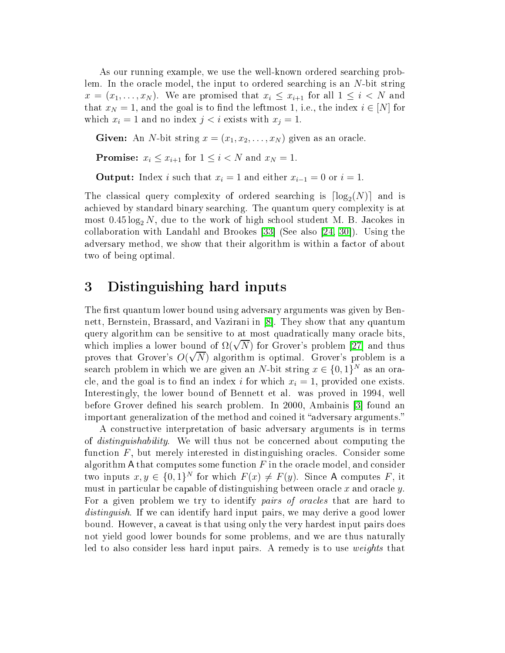As our running example, we use the well-known ordered searching problem. In the oracle model, the input to ordered searching is an N-bit string  $x = (x_1, \ldots, x_N)$ . We are promised that  $x_i \leq x_{i+1}$  for all  $1 \leq i < N$  and that  $x_N = 1$ , and the goal is to find the leftmost 1, i.e., the index  $i \in [N]$  for which  $x_i = 1$  and no index  $j < i$  exists with  $x_j = 1$ .

Given: An *N*-bit string  $x = (x_1, x_2, \ldots, x_N)$  given as an oracle.

**Promise:**  $x_i \le x_{i+1}$  for  $1 \le i \le N$  and  $x_N = 1$ .

**Output:** Index *i* such that  $x_i = 1$  and either  $x_{i-1} = 0$  or  $i = 1$ .

The classical query complexity of ordered searching is  $\lceil \log_2(N) \rceil$  and is a
hieved by standard binary sear
hing. The quantum query omplexity is at most  $0.45 \log_2 N$ , due to the work of high school student M. B. Jacokes in collaboration with Landahl and Brookes [33] (See also [\[24,](#page-24-7) 30]). Using the adversary method, we show that their algorithm is within a factor of about two of being optimal.

#### <span id="page-5-0"></span><sup>3</sup> Distinguishing hard inputs

The first quantum lower bound using adversary arguments was given by Bennett, Bernstein, Brassard, and Vazirani in [8]. They show that any quantum query algorithm an be sensitive to at most quadrati
ally many ora
le bits, which implies a lower bound of  $\Omega(\sqrt{N})$  for Grover's problem [27] and thus proves that Grover's  $O(\sqrt{N})$  algorithm is optimal. Grover's problem is a search problem in which we are given an N-bit string  $x \in \{0,1\}^N$  as an oracle, and the goal is to find an index i for which  $x_i = 1$ , provided one exists. Interestingly, the lower bound of Bennett et al. was proved in 1994, well before Grover defined his search problem. In 2000, Ambainis 3 found an important generalization of the method and coined it "adversary arguments."

A onstru
tive interpretation of basi adversary arguments is in terms of distinguishability. We will thus not be on
erned about omputing the function  $F$ , but merely interested in distinguishing oracles. Consider some algorithm A that computes some function  $F$  in the oracle model, and consider two inputs  $x, y \in \{0, 1\}^N$  for which  $F(x) \neq F(y)$ . Since A computes F, it must in particular be capable of distinguishing between oracle x and oracle y. For a given problem we try to identify *pairs of oracles* that are hard to distinguish. If we can identify hard input pairs, we may derive a good lower bound. However, a aveat is that using only the very hardest input pairs does not yield good lower bounds for some problems, and we are thus naturally led to also consider less hard input pairs. A remedy is to use *weights* that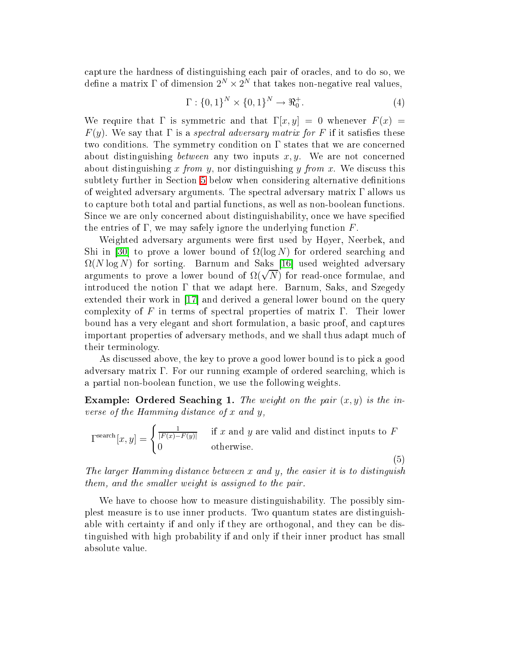capture the hardness of distinguishing each pair of oracles, and to do so, we define a matrix  $\Gamma$  of dimension  $2^N \times 2^N$  that takes non-negative real values,

$$
\Gamma: \{0, 1\}^{N} \times \{0, 1\}^{N} \to \Re_{0}^{+}.
$$
 (4)

We require that  $\Gamma$  is symmetric and that  $\Gamma[x, y] = 0$  whenever  $F(x) =$  $F(y)$ . We say that  $\Gamma$  is a *spectral adversary matrix for* F if it satisfies these two conditions. The symmetry condition on  $\Gamma$  states that we are concerned about distinguishing *between* any two inputs  $x, y$ . We are not concerned about distinguishing x from y, nor distinguishing y from x. We discuss this subtlety further in Section [5](#page-10-0) below when considering alternative definitions of weighted adversary arguments. The spe
tral adversary matrix Γ allows us to apture both total and partial fun
tions, as well as non-boolean fun
tions. Since we are only concerned about distinguishability, once we have specified the entries of  $\Gamma$ , we may safely ignore the underlying function  $F$ .

Weighted adversary arguments were first used by Høyer, Neerbek, and Shi in [30] to prove a lower bound of  $\Omega(\log N)$  for ordered searching and  $\Omega(N \log N)$  for sorting. Barnum and Saks [16] used weighted adversary  $\alpha_1$ ,  $\alpha_2$ ,  $\beta$ ,  $\beta$ ,  $\beta$ ,  $\beta$ ,  $\beta$ ,  $\alpha$ ,  $\beta$ ,  $\beta$ ,  $\beta$ ,  $\beta$ ,  $\beta$ ,  $\beta$ ,  $\beta$ ,  $\alpha$ ,  $\beta$ ,  $\alpha$ ,  $\alpha$ ,  $\beta$ ,  $\alpha$ ,  $\alpha$ ,  $\beta$ ,  $\alpha$ ,  $\alpha$ ,  $\beta$ ,  $\alpha$ ,  $\alpha$ ,  $\alpha$ ,  $\alpha$ ,  $\alpha$ ,  $\alpha$ ,  $\alpha$ ,  $\alpha$ ,  $\alpha$ ,  $\alpha$ , introduced the notion  $\Gamma$  that we adapt here. Barnum, Saks, and Szegedy extended their work in  $[17]$  and derived a general lower bound on the query complexity of F in terms of spectral properties of matrix  $\Gamma$ . Their lower bound has a very elegant and short formulation, a basi proof, and aptures important properties of adversary methods, and we shall thus adapt mu
h of their terminology.

As dis
ussed above, the key to prove a good lower bound is to pi
k a good adversary matrix Γ. For our running example of ordered sear
hing, whi
h is a partial non-boolean function, we use the following weights.

Example: Ordered Seaching 1. The weight on the pair  $(x, y)$  is the inverse of the Hamming distance of x and y,

 $\Gamma^{\text{search}}[x,y] = \begin{cases} \frac{1}{|F(x)-F(y)|} & \text{if } x \text{ and } y \text{ are valid and distinct inputs to } F \end{cases}$ 0 otherwise.

(5)

The larger Hamming distan
e between x and y, the easier it is to distinguish them, and the smaller weight is assigned to the pair.

<span id="page-6-0"></span>We have to choose how to measure distinguishability. The possibly simplest measure is to use inner products. Two quantum states are distinguishable with certainty if and only if they are orthogonal, and they can be distinguished with high probability if and only if their inner produ
t has small absolute value.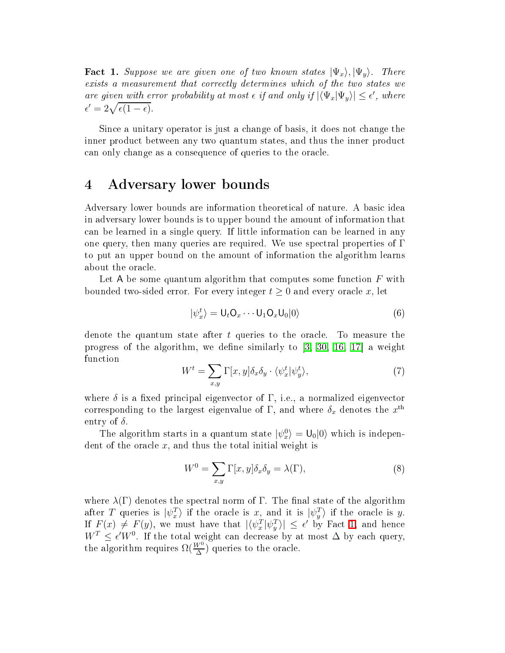**Fact 1.** Suppose we are given one of two known states  $|\Psi_x\rangle, |\Psi_y\rangle$ . There exists a measurement that correctly determines which of the two states we are given with error probability at most  $\epsilon$  if and only if  $|\langle \Psi_x | \Psi_y \rangle| \leq \epsilon'$ , where  $\epsilon' = 2\sqrt{\epsilon(1-\epsilon)}.$ 

Since a unitary operator is just a change of basis, it does not change the inner product between any two quantum states, and thus the inner product an only hange as a onsequen
e of queries to the ora
le.

## <span id="page-7-0"></span>4 Adversary lower bounds

Adversary lower bounds are information theoreti
al of nature. A basi idea in adversary lower bounds is to upper bound the amount of information that an be learned in a single query. If little information an be learned in any one query, then many queries are required. We use spectral properties of  $\Gamma$ to put an upper bound on the amount of information the algorithm learns about the ora
le.

Let A be some quantum algorithm that computes some function  $F$  with bounded two-sided error. For every integer  $t \geq 0$  and every oracle x, let

$$
|\psi_x^t\rangle = \mathsf{U}_t \mathsf{O}_x \cdots \mathsf{U}_1 \mathsf{O}_x \mathsf{U}_0 |0\rangle \tag{6}
$$

denote the quantum state after  $t$  queries to the oracle. To measure the progress of the algorithm, we define similarly to  $[3, 30, 16, 17]$  $[3, 30, 16, 17]$  $[3, 30, 16, 17]$  $[3, 30, 16, 17]$  $[3, 30, 16, 17]$  $[3, 30, 16, 17]$  a weight fun
tion

$$
W^t = \sum_{x,y} \Gamma[x,y] \delta_x \delta_y \cdot \langle \psi_x^t | \psi_y^t \rangle, \tag{7}
$$

where  $\delta$  is a fixed principal eigenvector of  $\Gamma$ , i.e., a normalized eigenvector corresponding to the largest eigenvalue of  $\Gamma,$  and where  $\delta_x$  denotes the  $x^\text{th}$ entry of  $\delta$ .

The algorithm starts in a quantum state  $|\psi_x^0\rangle = \mathsf{U}_0|0\rangle$  which is independent of the oracle  $x$ , and thus the total initial weight is

$$
W^{0} = \sum_{x,y} \Gamma[x,y] \delta_{x} \delta_{y} = \lambda(\Gamma), \qquad (8)
$$

where  $\lambda(\Gamma)$  denotes the spectral norm of  $\Gamma$ . The final state of the algorithm after T queries is  $|\psi_x^T\rangle$  if the oracle is x, and it is  $|\psi_y^T\rangle$  if the oracle is y. If  $F(x) \neq F(y)$ , we must have that  $|\langle \psi_x^T | \psi_y^T \rangle| \leq \epsilon'$  by Fact [1,](#page-6-0) and hence  $W^T \leq \epsilon' W^0$ . If the total weight can decrease by at most  $\Delta$  by each query, the algorithm requires  $\Omega(\frac{W^0}{\Delta})$  queries to the oracle.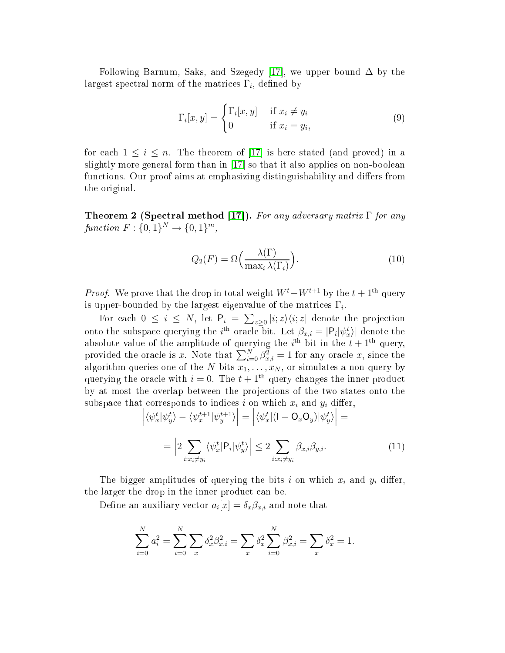Following Barnum, Saks, and Szegedy [17], we upper bound  $\Delta$  by the largest spectral norm of the matrices  $\Gamma_i,$  defined by

$$
\Gamma_i[x, y] = \begin{cases} \Gamma_i[x, y] & \text{if } x_i \neq y_i \\ 0 & \text{if } x_i = y_i, \end{cases}
$$
\n(9)

for each  $1 \leq i \leq n$ . The theorem of [17] is here stated (and proved) in a slightly more general form than in  $[17]$  so that it also applies on non-boolean functions. Our proof aims at emphasizing distinguishability and differs from the original.

Theorem 2 (Spectral method [17]). For any adversary matrix  $\Gamma$  for any  $function F: \{0,1\}^{N} \to \{0,1\}^{m},$ 

$$
Q_2(F) = \Omega\left(\frac{\lambda(\Gamma)}{\max_i \lambda(\Gamma_i)}\right). \tag{10}
$$

*Proof.* We prove that the drop in total weight  $W^t - W^{t+1}$  by the  $t + 1$ <sup>th</sup> query is upper-bounded by the largest eigenvalue of the matrices  $\Gamma_i$ .

For each  $0 \leq i \leq N$ , let  $P_i = \sum_{z \geq 0} |i; z\rangle \langle i; z|$  denote the projection onto the subspace querying the *i*<sup>th</sup> oracle bit. Let  $\beta_{x,i} = |P_i| \psi_x^t \rangle$  denote the absolute value of the amplitude of querying the  $i^{\text{th}}$  bit in the  $t+1^{\text{th}}$  query, provided the oracle is x. Note that  $\sum_{i=0}^{N} \beta_{x,i}^2 = 1$  for any oracle x, since the algorithm queries one of the N bits  $x_1, \ldots, x_N$ , or simulates a non-query by querying the oracle with  $i = 0$ . The  $t + 1<sup>th</sup>$  query changes the inner product by at most the overlap between the proje
tions of the two states onto the subspace that corresponds to indices  $i$  on which  $x_i$  and  $y_i$  differ,

$$
\left| \langle \psi_x^t | \psi_y^t \rangle - \langle \psi_x^{t+1} | \psi_y^{t+1} \rangle \right| = \left| \langle \psi_x^t | (1 - O_x O_y) | \psi_y^t \rangle \right| =
$$
\n
$$
= \left| 2 \sum_{i: x_i \neq y_i} \langle \psi_x^t | P_i | \psi_y^t \rangle \right| \le 2 \sum_{i: x_i \neq y_i} \beta_{x,i} \beta_{y,i}.
$$
\n(11)

<span id="page-8-0"></span>The bigger amplitudes of querying the bits i on which  $x_i$  and  $y_i$  differ, the larger the drop in the inner product can be.

Define an auxiliary vector  $a_i[x] = \delta_x \beta_{x,i}$  and note that

$$
\sum_{i=0}^{N} a_i^2 = \sum_{i=0}^{N} \sum_{x} \delta_x^2 \beta_{x,i}^2 = \sum_{x} \delta_x^2 \sum_{i=0}^{N} \beta_{x,i}^2 = \sum_{x} \delta_x^2 = 1.
$$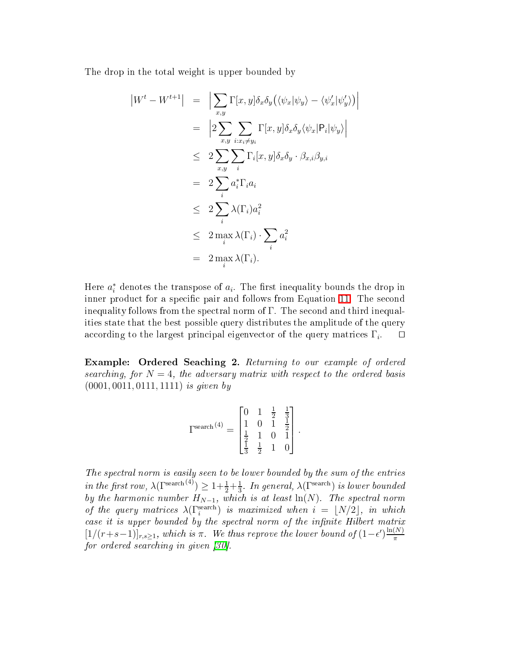The drop in the total weight is upper bounded by

$$
\begin{aligned}\n|W^t - W^{t+1}| &= \left| \sum_{x,y} \Gamma[x,y] \delta_x \delta_y \left( \langle \psi_x | \psi_y \rangle - \langle \psi_x' | \psi_y' \rangle \right) \right| \\
&= \left| 2 \sum_{x,y} \sum_{i:x_i \neq y_i} \Gamma[x,y] \delta_x \delta_y \langle \psi_x | \mathsf{P}_i | \psi_y \rangle \right| \\
&\leq 2 \sum_{x,y} \sum_i \Gamma_i[x,y] \delta_x \delta_y \cdot \beta_{x,i} \beta_{y,i} \\
&= 2 \sum_i a_i^* \Gamma_i a_i \\
&\leq 2 \sum_i \lambda(\Gamma_i) a_i^2 \\
&\leq 2 \max_i \lambda(\Gamma_i) \cdot \sum_i a_i^2 \\
&= 2 \max_i \lambda(\Gamma_i).\n\end{aligned}
$$

Here  $a_i^*$  denotes the transpose of  $a_i$ . The first inequality bounds the drop in inner product for a specific pair and follows from Equation [11.](#page-8-0) The second inequality follows from the spectral norm of  $\Gamma$ . The second and third inequalities state that the best possible query distributes the amplitude of the query according to the largest principal eigenvector of the query matrices  $\Gamma_i$ .  $□$ 

Example: Ordered Sea
hing 2. Returning to our example of ordered searching, for  $N=4$ , the adversary matrix with respect to the ordered basis (0001, 0011, 0111, 1111) is given by

$$
\Gamma^{\text{search}\, (4)} = \begin{bmatrix} 0 & 1 & \frac{1}{2} & \frac{1}{3} \\ 1 & 0 & 1 & \frac{1}{2} \\ \frac{1}{2} & 1 & 0 & 1 \\ \frac{1}{3} & \frac{1}{2} & 1 & 0 \end{bmatrix}.
$$

The spe
tral norm is easily seen to be lower bounded by the sum of the entries in the first row,  $\lambda(\Gamma^{\text{search}}(4)) \geq 1 + \frac{1}{2} + \frac{1}{3}$  $\frac{1}{3}$ . In general,  $\lambda(\Gamma^{\rm search})$  is lower bounded by the harmonic number  $H_{N-1}$ , which is at least  $\ln(N)$ . The spectral norm of the query matrices  $\lambda(\Gamma_i^{\text{search}})$  is maximized when  $i = \lfloor N/2 \rfloor$ , in which  $case$  it is upper bounded by the spectral norm of the infinite Hilbert matrix  $[1/(r+s-1)]_{r,s\geq 1}$ , which is  $\pi$ . We thus reprove the lower bound of  $(1-\epsilon')\frac{\ln(N)}{\pi}$ π for ordered searching in given  $[30]$ .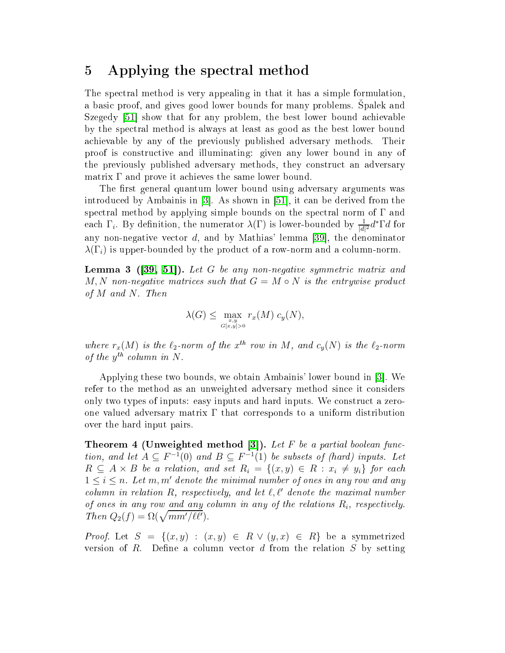#### <span id="page-10-0"></span>5 Applying the spe
tral method

The spe
tral method is very appealing in that it has a simple formulation, a basic proof, and gives good lower bounds for many problems. Spalek and Szegedy [51] show that for any problem, the best lower bound achievable by the spe
tral method is always at least as good as the best lower bound a
hievable by any of the previously published adversary methods. Their proof is onstru
tive and illuminating: given any lower bound in any of the previously published adversary methods, they onstru
t an adversary matrix  $\Gamma$  and prove it achieves the same lower bound.

The first general quantum lower bound using adversary arguments was introduced by Ambainis in  $[3]$ . As shown in  $[51]$ , it can be derived from the spectral method by applying simple bounds on the spectral norm of  $\Gamma$  and each  $\Gamma_i$ . By definition, the numerator  $\lambda(\Gamma)$  is lower-bounded by  $\frac{1}{|d|}$  $\frac{1}{|d|^2} d^* \Gamma d$  for any non-negative vector  $d$ , and by Mathias' lemma [39], the denominator  $\lambda(\Gamma_i)$  is upper-bounded by the product of a row-norm and a column-norm.

<span id="page-10-1"></span> ${\bf Lemma}$  3 ([\[39,](#page-25-3) 51]). Let  $G$  be any non-negative symmetric matrix and M, N non-negative matrices such that  $G = M \circ N$  is the entrywise product of  $M$  and  $N$ . Then

$$
\lambda(G) \leq \max_{\substack{x,y \\ G[x,y]>0}} r_x(M) c_y(N),
$$

where  $r_x(M)$  is the  $\ell_2$ -norm of the  $x^{th}$  row in M, and  $c_y(N)$  is the  $\ell_2$ -norm of the  $y^{th}$  column in N.

Applying these two bounds, we obtain Ambainis' lower bound in [3]. We refer to the method as an unweighted adversary method sin
e it onsiders only two types of inputs: easy inputs and hard inputs. We construct a zeroone valued adversary matrix  $\Gamma$  that corresponds to a uniform distribution over the hard input pairs.

<span id="page-10-2"></span>Theorem 4 (Unweighted method [3]). Let F be a partial boolean function, and let  $A \subseteq F^{-1}(0)$  and  $B \subseteq F^{-1}(1)$  be subsets of (hard) inputs. Let  $R \subseteq A \times B$  be a relation, and set  $R_i = \{(x, y) \in R : x_i \neq y_i\}$  for each  $1 \leq i \leq n$ . Let m, m' denote the minimal number of ones in any row and any column in relation R, respectively, and let  $\ell, \ell'$  denote the maximal number of ones in any row and any column in any of the relations  $R_i$ , respectively. Then  $Q_2(f) = \Omega(\sqrt{mm'/\ell\ell'})$ .

*Proof.* Let  $S = \{(x, y) : (x, y) \in R \lor (y, x) \in R\}$  be a symmetrized version of  $R$ . Define a column vector  $d$  from the relation  $S$  by setting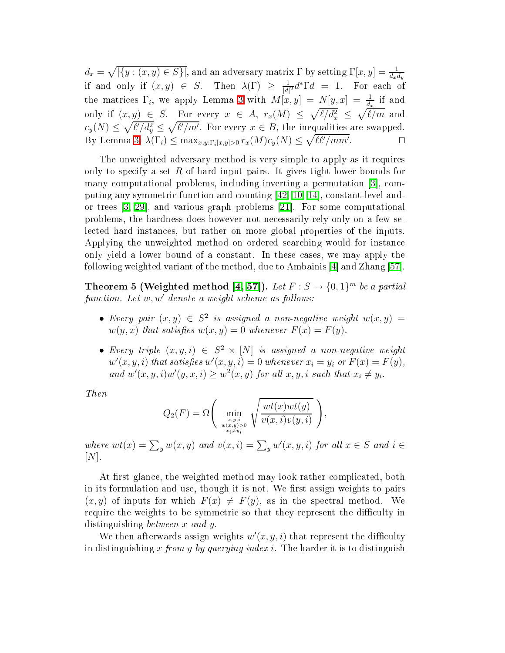$d_x = \sqrt{|\{y:(x,y)\in S\}|}$ , and an adversary matrix  $\Gamma$  by setting  $\Gamma[x,y] = \frac{1}{d_x d_y}$ if and only if  $(x, y) \in S$ . Then  $\lambda(\Gamma) \geq \frac{1}{|d|}$  $\frac{1}{|d|^2}d^*\Gamma d\,\,=\,\,1. \quad \text{For each of}$ the matrices  $\Gamma_i$ , we apply Lemma [3](#page-10-1) with  $M[x, y] = N[y, x] = \frac{1}{d_x}$  if and only if  $(x, y) \in S$ . For every  $x \in A$ ,  $r_x(M) \leq \sqrt{\ell/d_x^2} \leq \sqrt{\ell/m}$  and  $c_y(N) \leq \sqrt{\ell'/d_y^2} \leq \sqrt{\ell'/m'}$ . For every  $x \in B$ , the inequalities are swapped. By Lemma [3,](#page-10-1)  $\lambda(\Gamma_i) \leq \max_{x,y:\Gamma_i[x,y]>0} r_x(M)c_y(N) \leq \sqrt{\ell\ell'/mm'}$ . ⊓⊔

The unweighted adversary method is very simple to apply as it requires only to specify a set  $R$  of hard input pairs. It gives tight lower bounds for many computational problems, including inverting a permutation [3], computing any symmetric function and counting  $[42, 10, 14]$  $[42, 10, 14]$  $[42, 10, 14]$  $[42, 10, 14]$ , constant-level andor trees  $[3, 29]$  $[3, 29]$ , and various graph problems  $[21]$ . For some computational problems, the hardness does however not ne
essarily rely only on a few sele
ted hard instan
es, but rather on more global properties of the inputs. Applying the unweighted method on ordered sear
hing would for instan
e only yield a lower bound of a constant. In these cases, we may apply the following weighted variant of the method, due to Ambainis  $[4]$  and Zhang  $[57]$ .

**Theorem 5 (Weighted method [\[4,](#page-23-4) 57]).** Let  $F : S \rightarrow \{0,1\}^m$  be a partial function. Let w, w' denote a weight scheme as follows:

- Every pair  $(x, y) \in S^2$  is assigned a non-negative weight  $w(x, y) =$  $w(y, x)$  that satisfies  $w(x, y) = 0$  whenever  $F(x) = F(y)$ .
- Every triple  $(x, y, i) \in S^2 \times [N]$  is assigned a non-negative weight  $w'(x, y, i)$  that satisfies  $w'(x, y, i) = 0$  whenever  $x_i = y_i$  or  $F(x) = F(y)$ , and  $w'(x, y, i)w'(y, x, i) \geq w^2(x, y)$  for all  $x, y, i$  such that  $x_i \neq y_i$ .

Then

$$
Q_2(F) = \Omega\left(\min_{\substack{x,y,i\\w(x,y)>0\\x_i\neq y_i}}\sqrt{\frac{wt(x)wt(y)}{v(x,i)v(y,i)}}\right),
$$

where  $wt(x) = \sum_{y} w(x, y)$  and  $v(x, i) = \sum_{y} w'(x, y, i)$  for all  $x \in S$  and  $i \in S$  $[N]$ .

At first glance, the weighted method may look rather complicated, both in its formulation and use, though it is not. We first assign weights to pairs  $(x, y)$  of inputs for which  $F(x) \neq F(y)$ , as in the spectral method. We require the weights to be symmetric so that they represent the difficulty in distinguishing *between* x and y.

We then afterwards assign weights  $w'(x, y, i)$  that represent the difficulty in distinguishing x from y by querying index i. The harder it is to distinguish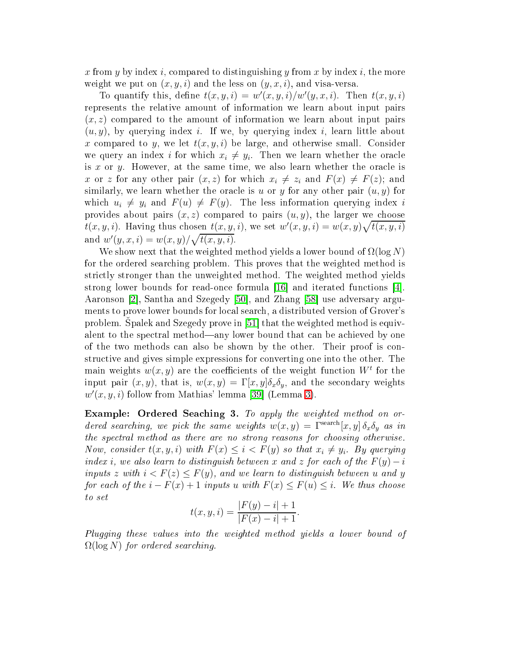x from y by index i, compared to distinguishing y from x by index i, the more weight we put on  $(x, y, i)$  and the less on  $(y, x, i)$ , and visa-versa.

To quantify this, define  $t(x, y, i) = w'(x, y, i)/w'(y, x, i)$ . Then  $t(x, y, i)$ represents the relative amount of information we learn about input pairs  $(x, z)$  compared to the amount of information we learn about input pairs  $(u, y)$ , by querying index i. If we, by querying index i, learn little about x compared to y, we let  $t(x, y, i)$  be large, and otherwise small. Consider we query an index i for which  $x_i \neq y_i$ . Then we learn whether the oracle is x or y. However, at the same time, we also learn whether the oracle is x or z for any other pair  $(x, z)$  for which  $x_i \neq z_i$  and  $F(x) \neq F(z)$ ; and similarly, we learn whether the oracle is u or y for any other pair  $(u, y)$  for which  $u_i \neq y_i$  and  $F(u) \neq F(y)$ . The less information querying index i provides about pairs  $(x, z)$  compared to pairs  $(u, y)$ , the larger we choose  $\overline{t}(x, y, i)$ . Having thus chosen  $t(x, y, i)$ , we set  $w'(x, y, i) = w(x, y) \sqrt{t(x, y, i)}$ and  $w'(y, x, i) = w(x, y) / \sqrt{t(x, y, i)}$ .

We show next that the weighted method yields a lower bound of  $\Omega(\log N)$ for the ordered sear
hing problem. This proves that the weighted method is stri
tly stronger than the unweighted method. The weighted method yields strong lower bounds for read-once formula  $|16|$  and iterated functions  $|4|$ . Aaronson [2], Santha and Szegedy [50], and Zhang [58] use adversary arguments to prove lower bounds for lo
al sear
h, a distributed version of Grover's problem. Spalek and Szegedy prove in [51] that the weighted method is equivalent to the spectral method—any lower bound that can be achieved by one of the two methods an also be shown by the other. Their proof is onstru
tive and gives simple expressions for onverting one into the other. The main weights  $w(x,y)$  are the coefficients of the weight function  $W^t$  for the input pair  $(x, y)$ , that is,  $w(x, y) = \Gamma[x, y] \delta_x \delta_y$ , and the secondary weights  $w'(x, y, i)$  follow from Mathias' lemma [39] (Lemma [3\)](#page-10-1).

Example: Ordered Sea
hing 3. To apply the weighted method on ordered searching, we pick the same weights  $w(x,y) = \Gamma^{\text{search}}[x,y] \, \delta_x \delta_y$  as in the spectral method as there are no strong reasons for choosing otherwise. Now, consider  $t(x, y, i)$  with  $F(x) \leq i < F(y)$  so that  $x_i \neq y_i$ . By querying index i, we also learn to distinguish between x and z for each of the  $F(y) - i$ inputs z with  $i < F(z) \leq F(y)$ , and we learn to distinguish between u and y for each of the  $i - F(x) + 1$  inputs u with  $F(x) \leq F(u) \leq i$ . We thus choose to set

$$
t(x, y, i) = \frac{|F(y) - i| + 1}{|F(x) - i| + 1}.
$$

Plugging these values into the weighted method yields a lower bound of  $\Omega(\log N)$  for ordered searching.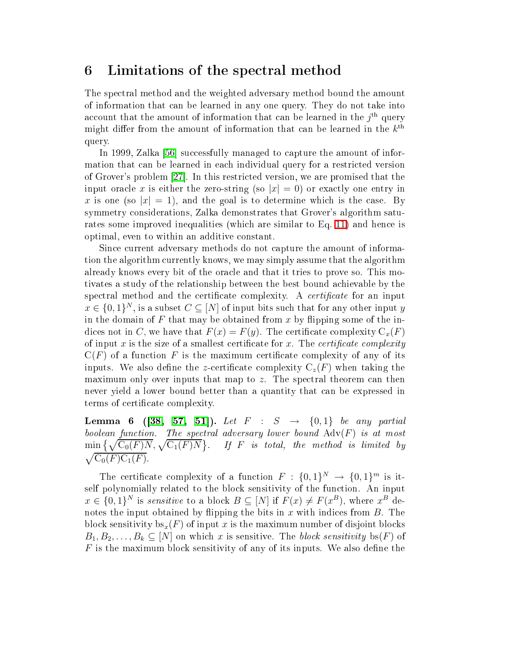#### <span id="page-13-0"></span>6 Limitations of the spe
tral method

The spe
tral method and the weighted adversary method bound the amount of information that an be learned in any one query. They do not take into account that the amount of information that can be learned in the  $j^{\rm th}$  query might differ from the amount of information that can be learned in the  $k^{\rm th}$ query.

In 1999, Zalka [56] successfully managed to capture the amount of information that can be learned in each individual query for a restricted version of Grover's problem  $[27]$ . In this restricted version, we are promised that the input oracle x is either the zero-string (so  $|x| = 0$ ) or exactly one entry in x is one (so  $|x| = 1$ ), and the goal is to determine which is the case. By symmetry onsiderations, Zalka demonstrates that Grover's algorithm satu-rates some improved inequalities (which are similar to Eq. [11\)](#page-8-0) and hence is optimal, even to within an additive onstant.

Since current adversary methods do not capture the amount of information the algorithm urrently knows, we may simply assume that the algorithm already knows every bit of the ora
le and that it tries to prove so. This motivates a study of the relationship between the best bound a
hievable by the spectral method and the certificate complexity. A *certificate* for an input  $x \in \{0,1\}^N$ , is a subset  $C \subseteq [N]$  of input bits such that for any other input y in the domain of  $F$  that may be obtained from  $x$  by flipping some of the indices not in C, we have that  $F(x) = F(y)$ . The certificate complexity  $C_x(F)$ of input x is the size of a smallest certificate for x. The *certificate complexity*  $C(F)$  of a function F is the maximum certificate complexity of any of its inputs. We also define the z-certificate complexity  $C_z(F)$  when taking the maximum only over inputs that map to  $z$ . The spectral theorem can then never yield a lower bound better than a quantity that an be expressed in terms of certificate complexity.

<span id="page-13-1"></span>**Lemma 6 ([\[38,](#page-25-5) [57,](#page-27-0) 51]).** Let  $F : S \rightarrow \{0,1\}$  be any partial boolean function. The spectral adversary lower bound  $\mathrm{Adv}(F)$  is at most  $\min\big\{\sqrt{\text{C}_0(F)N}, \sqrt{\text{C}_1(F)N}\big\}$ . If F is total, the method is limited by  $\sqrt{\mathrm{C}_0(F)\mathrm{C}_1(F)}$ .

The certificate complexity of a function  $F : \{0,1\}^N \to \{0,1\}^m$  is itself polynomially related to the block sensitivity of the function. An input  $x \in \{0,1\}^N$  is sensitive to a block  $B \subseteq [N]$  if  $F(x) \neq F(x^B)$ , where  $x^B$  denotes the input obtained by flipping the bits in  $x$  with indices from  $B$ . The block sensitivity  $bs_x(F)$  of input x is the maximum number of disjoint blocks  $B_1, B_2, \ldots, B_k \subseteq [N]$  on which x is sensitive. The block sensitivity bs(F) of  $F$  is the maximum block sensitivity of any of its inputs. We also define the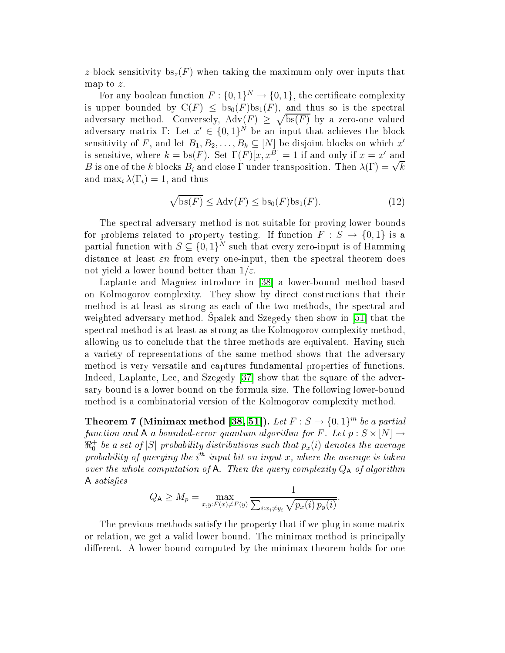z-block sensitivity  $bs_z(F)$  when taking the maximum only over inputs that map to z.

For any boolean function  $F: \{0,1\}^N \to \{0,1\}$ , the certificate complexity is upper bounded by  $C(F) \leq bs_0(F)bs_1(F)$ , and thus so is the spectral adversary method. Conversely,  $\text{Adv}(F) \geq \sqrt{\text{bs}(F)}$  by a zero-one valued adversary matrix  $\Gamma:$  Let  $x' \in \{0,1\}^N$  be an input that achieves the block sensitivity of F, and let  $B_1, B_2, \ldots, B_k \subseteq [N]$  be disjoint blocks on which  $x'$ is sensitive, where  $k = \text{bs}(F)$ . Set  $\Gamma(F)[x, x^B] = 1$  if and only if  $x = x'$  and B is one of the k blocks  $B_i$  and close  $\Gamma$  under transposition. Then  $\lambda(\Gamma) = \sqrt{k}$ and  $\max_i \lambda(\Gamma_i) = 1$ , and thus

$$
\sqrt{\operatorname{bs}(F)} \le \operatorname{Adv}(F) \le \operatorname{bs}_0(F)\operatorname{bs}_1(F). \tag{12}
$$

The spe
tral adversary method is not suitable for proving lower bounds for problems related to property testing. If function  $F : S \to \{0,1\}$  is a partial function with  $S \subseteq \{0,1\}^N$  such that every zero-input is of Hamming distance at least  $\varepsilon n$  from every one-input, then the spectral theorem does not yield a lower bound better than  $1/\varepsilon$ .

Laplante and Magniez introduce in [38] a lower-bound method based on Kolmogorov omplexity. They show by dire
t onstru
tions that their method is at least as strong as ea
h of the two methods, the spe
tral and weighted adversary method. Spalek and Szegedy then show in [51] that the spe
tral method is at least as strong as the Kolmogorov omplexity method, allowing us to conclude that the three methods are equivalent. Having such a variety of representations of the same method shows that the adversary method is very versatile and aptures fundamental properties of fun
tions. Indeed, Laplante, Lee, and Szegedy  $[37]$  show that the square of the adversary bound is a lower bound on the formula size. The following lower-bound method is a ombinatorial version of the Kolmogorov omplexity method.

Theorem 7 (Minimax method [\[38,](#page-25-5) 51]). Let  $F : S \rightarrow \{0,1\}^m$  be a partial function and  $A$  a bounded-error quantum algorithm for F. Let  $p : S \times [N] \rightarrow$  $\Re^+_0$  be a set of  $|S|$  probability distributions such that  $p_x(i)$  denotes the average probability of querying the i<sup>th</sup> input bit on input x, where the average is taken over the whole computation of A. Then the query complexity  $Q_A$  of algorithm A satisfies

$$
Q_{\mathsf{A}} \ge M_p = \max_{x, y: F(x) \ne F(y)} \frac{1}{\sum_{i: x_i \ne y_i} \sqrt{p_x(i) p_y(i)}}.
$$

The previous methods satisfy the property that if we plug in some matrix or relation, we get a valid lower bound. The minimax method is prin
ipally different. A lower bound computed by the minimax theorem holds for one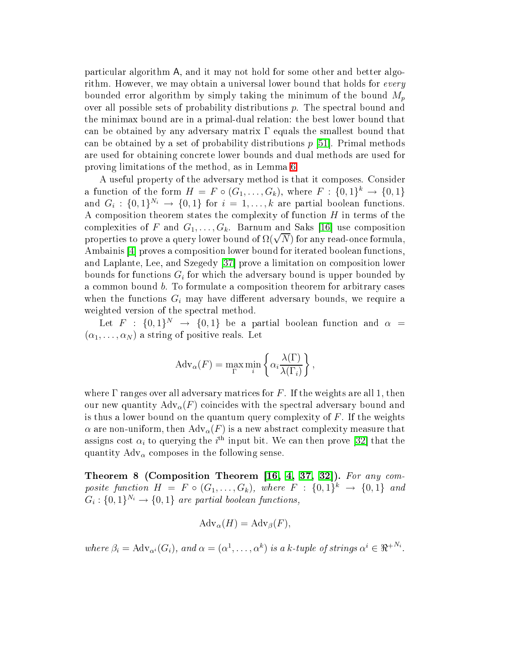parti
ular algorithm A, and it may not hold for some other and better algorithm. However, we may obtain a universal lower bound that holds for *every* bounded error algorithm by simply taking the minimum of the bound  $M_p$ over all possible sets of probability distributions  $p$ . The spectral bound and the minimax bound are in a primal-dual relation: the best lower bound that can be obtained by any adversary matrix  $\Gamma$  equals the smallest bound that can be obtained by a set of probability distributions  $p \mid 51$ . Primal methods are used for obtaining on
rete lower bounds and dual methods are used for proving limitations of the method, as in Lemma [6.](#page-13-1)

A useful property of the adversary method is that it omposes. Consider a function of the form  $H = F \circ (G_1, \ldots, G_k)$ , where  $F : \{0,1\}^k \to \{0,1\}$ and  $G_i: \{0,1\}^{N_i} \to \{0,1\}$  for  $i = 1, ..., k$  are partial boolean functions. A composition theorem states the complexity of function  $H$  in terms of the complexities of F and  $G_1, \ldots, G_k$ . Barnum and Saks [16] use composition properties to prove a query lower bound of  $\Omega(\sqrt{N})$  for any read-once formula, Ambainis [4] proves a composition lower bound for iterated boolean functions, and Laplante, Lee, and Szegedy [37] prove a limitation on composition lower bounds for functions  $G_i$  for which the adversary bound is upper bounded by a common bound *b*. To formulate a composition theorem for arbitrary cases when the functions  $G_i$  may have different adversary bounds, we require a weighted version of the spectral method.

Let  $F$  :  $\{0,1\}^N$   $\rightarrow$   $\{0,1\}$  be a partial boolean function and  $\alpha$  =  $(\alpha_1, \ldots, \alpha_N)$  a string of positive reals. Let

$$
Adv_{\alpha}(F) = \max_{\Gamma} \min_{i} \left\{ \alpha_i \frac{\lambda(\Gamma)}{\lambda(\Gamma_i)} \right\},\,
$$

where  $\Gamma$  ranges over all adversary matrices for F. If the weights are all 1, then our new quantity  $\text{Adv}_{\alpha}(F)$  coincides with the spectral adversary bound and is thus a lower bound on the quantum query complexity of  $F$ . If the weights  $\alpha$  are non-uniform, then  $\text{Adv}_{\alpha}(F)$  is a new abstract complexity measure that assigns cost  $\alpha_i$  to querying the  $i^{\rm th}$  input bit. We can then prove [32] that the quantity  $\text{Adv}_{\alpha}$  composes in the following sense.

Theorem <sup>8</sup> (Composition Theorem [\[16,](#page-24-8) [4,](#page-23-4) [37,](#page-25-6) [32℄](#page-25-7)). For any omposite function  $H = F \circ (G_1, \ldots, G_k)$ , where  $F : \{0,1\}^k \to \{0,1\}$  and  $G_i: \{0,1\}^{N_i} \rightarrow \{0,1\}$  are partial boolean functions,

$$
Adv_{\alpha}(H) = Adv_{\beta}(F),
$$

where  $\beta_i = \text{Adv}_{\alpha^i}(G_i)$ , and  $\alpha = (\alpha^1, \dots, \alpha^k)$  is a k-tuple of strings  $\alpha^i \in \mathbb{R}^{N_i}$ .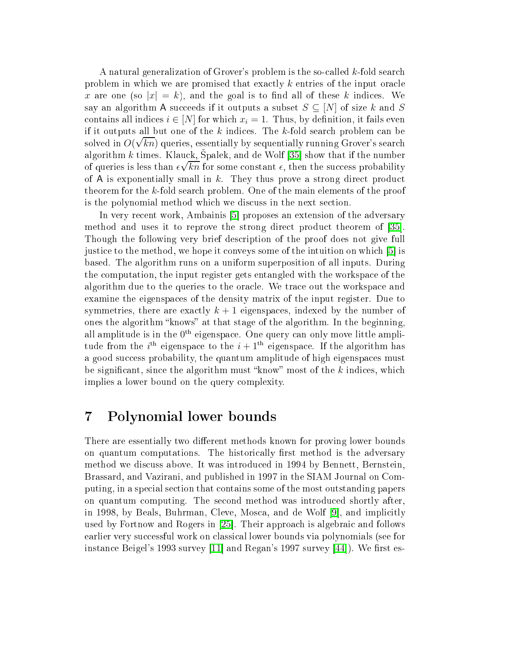A natural generalization of Grover's problem is the so-called k-fold search problem in which we are promised that exactly k entries of the input oracle x are one (so  $|x| = k$ ), and the goal is to find all of these k indices. We say an algorithm A succeeds if it outputs a subset  $S \subseteq [N]$  of size k and S contains all indices  $i \in [N]$  for which  $x_i = 1$ . Thus, by definition, it fails even if it outputs all but one of the  $k$  indices. The  $k$ -fold search problem can be solved in  $O(\sqrt{kn})$  queries, essentially by sequentially running Grover's search algorithm k times. Klauck, Spalek, and de Wolf  $[35]$  show that if the number of queries is less than  $\epsilon \sqrt{kn}$  for some constant  $\epsilon$ , then the success probability of A is exponentially small in  $k$ . They thus prove a strong direct product theorem for the k-fold sear
h problem. One of the main elements of the proof is the polynomial method which we discuss in the next section.

In very recent work, Ambainis [5] proposes an extension of the adversary method and uses it to reprove the strong direct product theorem of [35]. Though the following very brief des
ription of the proof does not give full justice to the method, we hope it conveys some of the intuition on which  $[5]$  is based. The algorithm runs on a uniform superposition of all inputs. During the omputation, the input register gets entangled with the workspa
e of the algorithm due to the queries to the ora
le. We tra
e out the workspa
e and examine the eigenspa
es of the density matrix of the input register. Due to symmetries, there are exactly  $k + 1$  eigenspaces, indexed by the number of ones the algorithm "knows" at that stage of the algorithm. In the beginning, all amplitude is in the  $0^{\text{th}}$  eigenspace. One query can only move little amplitude from the  $i^{\text{th}}$  eigenspace to the  $i+1^{\text{th}}$  eigenspace. If the algorithm has a good success probability, the quantum amplitude of high eigenspaces must be significant, since the algorithm must "know" most of the  $k$  indices, which implies a lower bound on the query complexity.

#### <span id="page-16-0"></span><sup>7</sup> Polynomial lower bounds

There are essentially two different methods known for proving lower bounds on quantum computations. The historically first method is the adversary method we dis
uss above. It was introdu
ed in 1994 by Bennett, Bernstein, Brassard, and Vazirani, and published in 1997 in the SIAM Journal on Computing, in a spe
ial se
tion that ontains some of the most outstanding papers on quantum omputing. The se
ond method was introdu
ed shortly after, in 1998, by Beals, Buhrman, Cleve, Mosca, and de Wolf [9], and implicitly used by Fortnow and Rogers in [25]. Their approach is algebraic and follows earlier very su

essful work on lassi
al lower bounds via polynomials (see for instance Beigel's 1993 survey [11] and Regan's 1997 survey [44]). We first es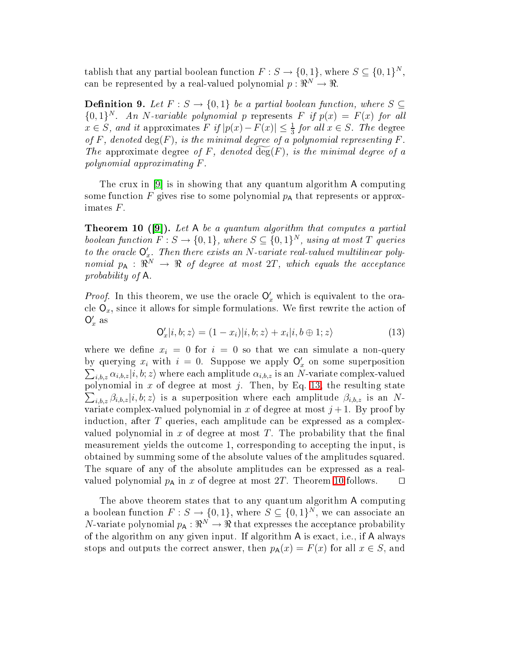tablish that any partial boolean function  $F : S \to \{0,1\}$ , where  $S \subseteq \{0,1\}^N$ , can be represented by a real-valued polynomial  $p: \Re^N \to \Re$ .

**Definition 9.** Let  $F : S \to \{0,1\}$  be a partial boolean function, where  $S \subseteq$  ${0,1}^N$ . An N-variable polynomial p represents F if  $p(x) = F(x)$  for all  $x \in S$ , and it approximates  $F$  if  $|p(x) - F(x)| \leq \frac{1}{3}$  for all  $x \in S$ . The degree of F, denoted  $deg(F)$ , is the minimal degree of a polynomial representing F. The approximate degree of F, denoted  $\widetilde{\deg}(F)$ , is the minimal degree of a polynomial approximating F .

<span id="page-17-1"></span>The crux in  $|9|$  is in showing that any quantum algorithm A computing some function  $F$  gives rise to some polynomial  $p_A$  that represents or approximates F.

**Theorem 10 ([9]).** Let A be a quantum algorithm that computes a partial boolean function  $F: S \to \{0,1\}$ , where  $S \subseteq \{0,1\}^N$ , using at most  $T$  queries to the oracle  $O'_x$ . Then there exists an N-variate real-valued multilinear polynomial  $p_{\mathsf{A}} : \mathbb{R}^N \to \mathbb{R}$  of degree at most  $2T$ , which equals the acceptance probability of A.

<span id="page-17-0"></span>*Proof.* In this theorem, we use the oracle  $\mathsf{O}'_x$  which is equivalent to the oracle  $\mathsf{O}_x$ , since it allows for simple formulations. We first rewrite the action of  $O'_x$  as

$$
\mathbf{O}'_x|i,b;z\rangle = (1-x_i)|i,b;z\rangle + x_i|i,b \oplus 1;z\rangle \tag{13}
$$

where we define  $x_i = 0$  for  $i = 0$  so that we can simulate a non-query by querying  $x_i$  with  $i = 0$ . Suppose we apply  $\mathsf{O}'_x$  on some superposition by querying  $x_i$  with  $i = 0$ . Suppose we apply  $\bigcup_x$  on some superposition  $\sum_{i,b,z} \alpha_{i,b,z} |i,b;z\rangle$  where each amplitude  $\alpha_{i,b,z}$  is an N-variate complex-valued polynomial in  $x$  of degree at most  $j$ . Then, by Eq. [13,](#page-17-0) the resulting state  $\sum_{i,b,z} \beta_{i,b,z} |i,b;z\rangle$  is a superposition where each amplitude  $\beta_{i,b,z}$  is an Nvariate complex-valued polynomial in x of degree at most  $j+1$ . By proof by indu
tion, after T queries, ea
h amplitude an be expressed as a omplexvalued polynomial in x of degree at most  $T$ . The probability that the final measurement yields the outcome 1, corresponding to accepting the input, is obtained by summing some of the absolute values of the amplitudes squared. The square of any of the absolute amplitudes an be expressed as a realvalued polynomial  $p_A$  in x of degree at most 2T. Theorem [10](#page-17-1) follows.  $□$ 

The above theorem states that to any quantum algorithm A computing a boolean function  $F: S \to \{0,1\}$ , where  $S \subseteq \{0,1\}^N$ , we can associate an N-variate polynomial  $p_{\mathsf{A}}: \Re^N \to \Re$  that expresses the acceptance probability of the algorithm on any given input. If algorithm A is exact, i.e., if A always stops and outputs the correct answer, then  $p_{\mathsf{A}}(x) = F(x)$  for all  $x \in S$ , and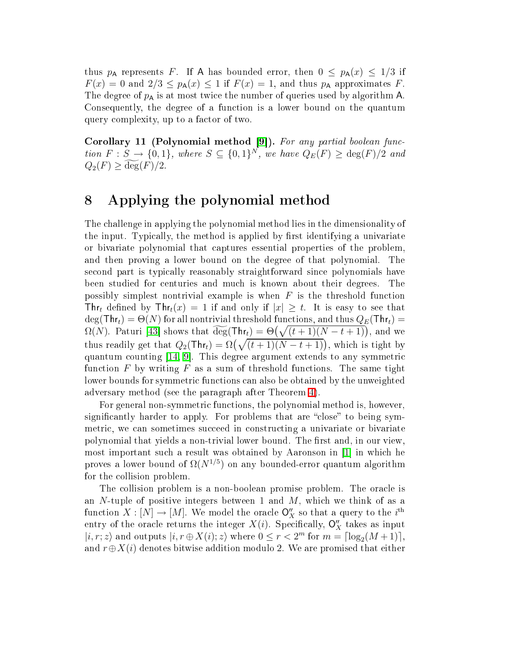thus  $p_A$  represents F. If A has bounded error, then  $0 \leq p_A(x) \leq 1/3$  if  $F(x) = 0$  and  $2/3 \leq p_{\mathsf{A}}(x) \leq 1$  if  $F(x) = 1$ , and thus  $p_{\mathsf{A}}$  approximates F. The degree of  $p_A$  is at most twice the number of queries used by algorithm A. Consequently, the degree of a function is a lower bound on the quantum query omplexity, up to a fa
tor of two.

Corollary <sup>11</sup> (Polynomial method [\[9℄](#page-23-6)). For any partial boolean fun
 tion  $F : S \to \{0,1\}$ , where  $S \subseteq \{0,1\}^N$ , we have  $Q_E(F) \ge \deg(F)/2$  and  $Q_2(F) \ge \deg(F)/2$ .

#### <span id="page-18-0"></span><sup>8</sup> Applying the polynomial method

The hallenge in applying the polynomial method lies in the dimensionality of the input. Typically, the method is applied by first identifying a univariate or bivariate polynomial that aptures essential properties of the problem, and then proving a lower bound on the degree of that polynomial. The se
ond part is typi
ally reasonably straightforward sin
e polynomials have been studied for enturies and mu
h is known about their degrees. The possibly simplest nontrivial example is when  $F$  is the threshold function The defined by  $\text{Thr}_t(x) = 1$  if and only if  $|x| \geq t$ . It is easy to see that  $\deg(\text{Thr}_t) = \Theta(N)$  for all nontrivial threshold functions, and thus  $Q_E(\text{Thr}_t) =$  $\Omega(N)$ . Paturi [43] shows that  $\widetilde{\deg}(\textsf{Thr}_t) = \Theta\big(\sqrt{(t+1)(N-t+1)}\big)$ , and we thus readily get that  $Q_2(\text{Thr}_t) = \Omega(\sqrt{(t+1)(N-t+1)})$ , which is tight by quantum counting  $[14, 9]$  $[14, 9]$ . This degree argument extends to any symmetric function  $F$  by writing  $F$  as a sum of threshold functions. The same tight lower bounds for symmetric functions can also be obtained by the unweighted adversary method (see the paragraph after Theorem [4\)](#page-10-2).

For general non-symmetric functions, the polynomial method is, however. significantly harder to apply. For problems that are "close" to being symmetric, we can sometimes succeed in constructing a univariate or bivariate polynomial that yields a non-trivial lower bound. The first and, in our view, most important such a result was obtained by Aaronson in  $[1]$  in which he proves a lower bound of  $\Omega(N^{1/5})$  on any bounded-error quantum algorithm for the ollision problem.

The collision problem is a non-boolean promise problem. The oracle is an  $N$ -tuple of positive integers between 1 and  $M$ , which we think of as a function  $X : [N] \to [M]$ . We model the oracle  $\mathsf{O}_X''$  so that a query to the i<sup>th</sup> entry of the oracle returns the integer  $X(i)$ . Specifically,  $\mathsf{O}''_X$  takes as input  $|i, r; z\rangle$  and outputs  $|i, r \oplus X(i); z\rangle$  where  $0 \le r < 2^m$  for  $m = \lceil \log_2(M+1) \rceil$ , and  $r \oplus X(i)$  denotes bitwise addition modulo 2. We are promised that either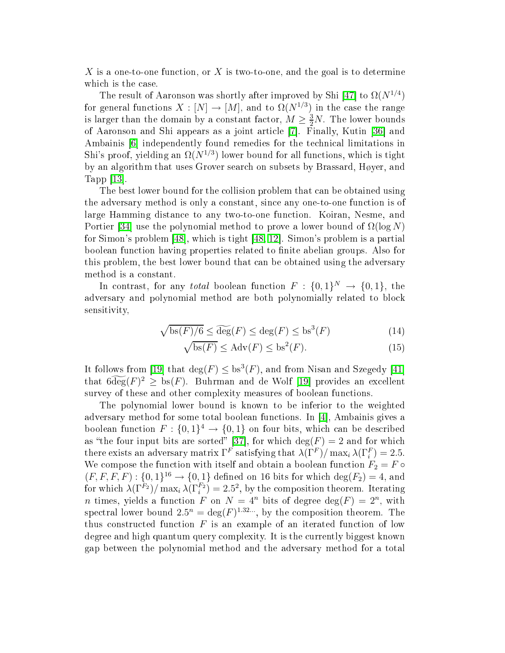X is a one-to-one function, or X is two-to-one, and the goal is to determine which is the case.

The result of Aaronson was shortly after improved by Shi [47] to  $\Omega(N^{1/4})$ for general functions  $X : [N] \to [M]$ , and to  $\Omega(N^{1/3})$  in the case the range is larger than the domain by a constant factor,  $M \geq \frac{3}{2}N$ . The lower bounds of Aaronson and Shi appears as a joint article [7]. Finally, Kutin [36] and Ambainis [6] independently found remedies for the technical limitations in Shi's proof, yielding an  $\Omega(N^{1/3})$  lower bound for all functions, which is tight by an algorithm that uses Grover sear
h on subsets by Brassard, Høyer, and Tapp  $[13]$ .

The best lower bound for the collision problem that can be obtained using the adversary method is only a onstant, sin
e any one-to-one fun
tion is of large Hamming distan
e to any two-to-one fun
tion. Koiran, Nesme, and Portier [34] use the polynomial method to prove a lower bound of  $\Omega(\log N)$ for Simon's problem  $[48]$ , which is tight  $[48, 12]$  $[48, 12]$ . Simon's problem is a partial boolean function having properties related to finite abelian groups. Also for this problem, the best lower bound that an be obtained using the adversary method is a onstant.

In contrast, for any *total* boolean function  $F: \{0,1\}^N \to \{0,1\}$ , the adversary and polynomial method are both polynomially related to blo
k sensitivity,

$$
\sqrt{\text{bs}(F)/6} \le \widetilde{\text{deg}}(F) \le \text{deg}(F) \le \text{bs}^3(F) \tag{14}
$$

$$
\sqrt{\text{bs}(F)} \le \text{Adv}(F) \le \text{bs}^2(F). \tag{15}
$$

It follows from [19] that  $\deg(F) \leq bs^3(F)$ , and from Nisan and Szegedy [41] that  $6\widetilde{\deg}(F)^2 \geq 6$  bs  $(F)$ . Buhrman and de Wolf [19] provides an excellent survey of these and other complexity measures of boolean functions.

The polynomial lower bound is known to be inferior to the weighted adversary method for some total boolean functions. In  $[4]$ , Ambainis gives a boolean function  $F: \{0,1\}^4 \to \{0,1\}$  $F: \{0,1\}^4 \to \{0,1\}$  $F: \{0,1\}^4 \to \{0,1\}$  on four bits, which can be described as "the four input bits are sorted" [37], for which  $\deg(F) = 2$  and for which there exists an adversary matrix  $\Gamma^F$  satisfying that  $\lambda(\Gamma^F)/\max_i \lambda(\Gamma^F_i)=2.5.$ We compose the function with itself and obtain a boolean function  $F_2 = F \circ$  $(F, F, F, F) : \{0, 1\}^{16} \rightarrow \{0, 1\}$  defined on 16 bits for which  $deg(F_2) = 4$ , and for which  $\lambda(\Gamma^{F_2})/\max_i\lambda(\Gamma_i^{F_2})=2.5^2$ , by the composition theorem. Iterating *n* times, yields a function F on  $N = 4^n$  bits of degree  $deg(F) = 2^n$ , with spectral lower bound  $2.5^n = \deg(F)^{1.32...}$ , by the composition theorem. The thus constructed function  $F$  is an example of an iterated function of low degree and high quantum query complexity. It is the currently biggest known gap between the polynomial method and the adversary method for a total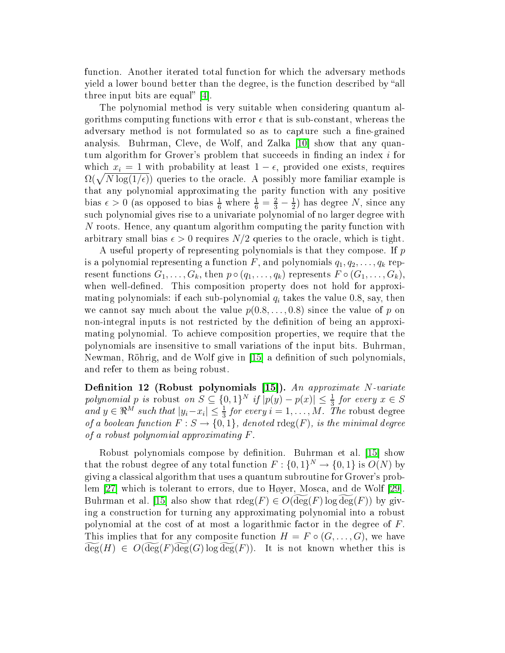function. Another iterated total function for which the adversary methods yield a lower bound better than the degree, is the function described by "all three input bits are equal"  $[4]$ .

The polynomial method is very suitable when onsidering quantum algorithms computing functions with error  $\epsilon$  that is sub-constant, whereas the adversary method is not formulated so as to capture such a fine-grained analysis. Buhrman, Cleve, de Wolf, and Zalka [10] show that any quantum algorithm for Grover's problem that succeeds in finding an index  $i$  for which  $x_i = 1$  with probability at least  $1 - \epsilon$ , provided one exists, requires  $\Omega(\sqrt{N \log(1/\epsilon)})$  queries to the oracle. A possibly more familiar example is that any polynomial approximating the parity fun
tion with any positive bias  $\epsilon > 0$  (as opposed to bias  $\frac{1}{6}$  where  $\frac{1}{6} = \frac{2}{3} - \frac{1}{2}$  $\frac{1}{2}$ ) has degree N, since any su
h polynomial gives rise to a univariate polynomial of no larger degree with N roots. Hence, any quantum algorithm computing the parity function with arbitrary small bias  $\epsilon > 0$  requires  $N/2$  queries to the oracle, which is tight.

A useful property of representing polynomials is that they compose. If p is a polynomial representing a function F, and polynomials  $q_1, q_2, \ldots, q_k$  represent functions  $G_1, \ldots, G_k$ , then  $p \circ (q_1, \ldots, q_k)$  represents  $F \circ (G_1, \ldots, G_k)$ , when well-defined. This composition property does not hold for approximating polynomials: if each sub-polynomial  $q_i$  takes the value 0.8, say, then we cannot say much about the value  $p(0.8,\ldots,0.8)$  since the value of p on non-integral inputs is not restricted by the definition of being an approximating polynomial. To a
hieve omposition properties, we require that the polynomials are insensitive to small variations of the input bits. Buhrman, Newman, Röhrig, and de Wolf give in [15] a definition of such polynomials, and refer to them as being robust.

 ${\bf Definition \ \ 12 \ \ (Robust \ \ polynomials \ \ [15]). \ \ } An \ \ approximate \ \ } N\!\cdot\!variate$ polynomial p is robust on  $S \subseteq \{0,1\}^N$  if  $|p(y) - p(x)| \leq \frac{1}{3}$  for every  $x \in S$ and  $y \in \mathbb{R}^M$  such that  $|y_i - x_i| \leq \frac{1}{3}$  for every  $i = 1, ..., M$ . The robust degree of a boolean function  $F : S \to \{0,1\}$ , denoted  $\text{rdeg}(F)$ , is the minimal degree of a robust polynomial approximating F .

Robust polynomials compose by definition. Buhrman et al. [15] show that the robust degree of any total function  $F: \{0,1\}^N \to \{0,1\}$  is  $O(N)$  by giving a lassi
al algorithm that uses a quantum subroutine for Grover's problem  $[27]$  which is tolerant to errors, due to Høyer, Mosca, and de Wolf  $[29]$ . Buhrman et al. [15] also show that  $\text{rdeg}(F) \in O(\deg(F) \log \deg(F))$  by giving a onstru
tion for turning any approximating polynomial into a robust polynomial at the cost of at most a logarithmic factor in the degree of  $F$ . This implies that for any composite function  $H = F \circ (G, \ldots, G)$ , we have  $deg(H) \in O(deg(F)deg(G)log deg(F))$ . It is not known whether this is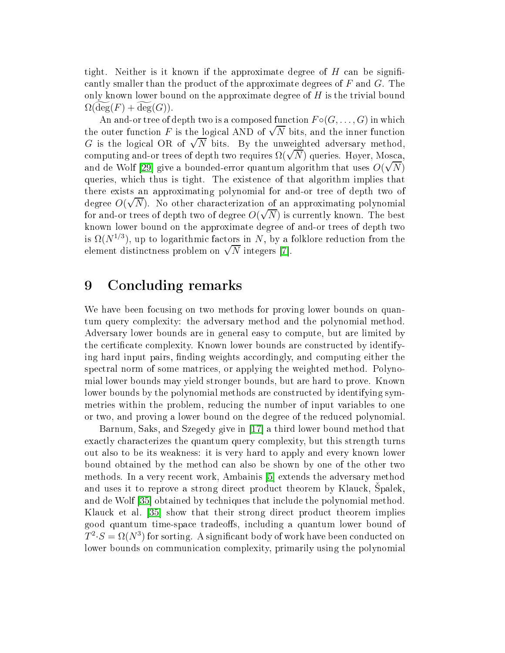tight. Neither is it known if the approximate degree of  $H$  can be significantly smaller than the product of the approximate degrees of  $F$  and  $G$ . The only known lower bound on the approximate degree of  $H$  is the trivial bound  $\Omega(\deg(F) + \deg(G)).$ 

An and-or tree of depth two is a composed function  $F \circ (G, \ldots, G)$  in which the outer function F is the logical AND of  $\sqrt{N}$  bits, and the inner function G is the logical OR of  $\sqrt{N}$  bits. By the unweighted adversary method, computing and-or trees of depth two requires  $\Omega(\sqrt{N})$  queries. Høyer, Mosca, and de Wolf [29] give a bounded-error quantum algorithm that uses  $O(\sqrt{N})$ queries, whi
h thus is tight. The existen
e of that algorithm implies that there exists an approximating polynomial for and-or tree of depth two of degree  $O(\sqrt{N})$ . No other characterization of an approximating polynomial for and-or trees of depth two of degree  $O(\sqrt{N})$  is currently known. The best known lower bound on the approximate degree of and-or trees of depth two is  $\Omega(N^{1/3})$ , up to logarithmic factors in N, by a folklore reduction from the element distinctness problem on  $\sqrt{N}$  integers [7].

#### <span id="page-21-0"></span>9 Con
luding remarks

We have been focusing on two methods for proving lower bounds on quantum query omplexity: the adversary method and the polynomial method. Adversary lower bounds are in general easy to ompute, but are limited by the certificate complexity. Known lower bounds are constructed by identifying hard input pairs, finding weights accordingly, and computing either the spe
tral norm of some matri
es, or applying the weighted method. Polynomial lower bounds may yield stronger bounds, but are hard to prove. Known lower bounds by the polynomial methods are constructed by identifying symmetries within the problem, reducing the number of input variables to one or two, and proving a lower bound on the degree of the redu
ed polynomial.

Barnum, Saks, and Szegedy give in [17] a third lower bound method that exa
tly hara
terizes the quantum query omplexity, but this strength turns out also to be its weakness: it is very hard to apply and every known lower bound obtained by the method an also be shown by one of the other two methods. In a very recent work, Ambainis [5] extends the adversary method and uses it to reprove a strong direct product theorem by Klauck, Spalek, and de Wolf [35] obtained by techniques that include the polynomial method. Klauck et al. [35] show that their strong direct product theorem implies good quantum time-space tradeoffs, including a quantum lower bound of  $T^2 \cdot S = \Omega(N^3)$  for sorting. A significant body of work have been conducted on lower bounds on communication complexity, primarily using the polynomial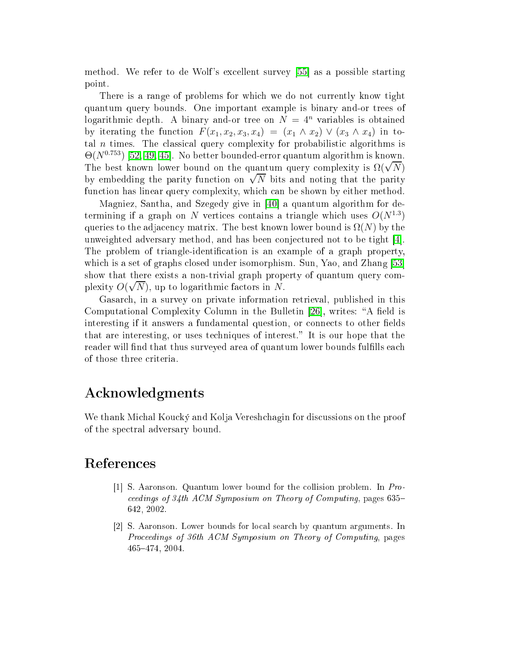method. We refer to de Wolf's excellent survey [55] as a possible starting point.

There is a range of problems for which we do not currently know tight quantum query bounds. One important example is binary and-or trees of logarithmic depth. A binary and-or tree on  $N = 4^n$  variables is obtained by iterating the function  $F(x_1, x_2, x_3, x_4) = (x_1 \wedge x_2) \vee (x_3 \wedge x_4)$  in total  $n$  times. The classical query complexity for probabilistic algorithms is  $\Theta(N^{0.753})$  [\[52,](#page-26-10) [49,](#page-26-11) 45]. No better bounded-error quantum algorithm is known. The best known lower bound on the quantum query complexity is  $\Omega(\sqrt{N})$ by embedding the parity function on  $\sqrt{N}$  bits and noting that the parity function has linear query complexity, which can be shown by either method.

Magniez, Santha, and Szegedy give in [40] a quantum algorithm for determining if a graph on N vertices contains a triangle which uses  $O(N^{1.3})$ queries to the adjacency matrix. The best known lower bound is  $\Omega(N)$  by the unweighted adversary method, and has been conjectured not to be tight  $[4]$ . The problem of triangle-identification is an example of a graph property, which is a set of graphs closed under isomorphism. Sun, Yao, and Zhang [53] show that there exists a non-trivial graph property of quantum query complexity  $O(\sqrt{N})$ , up to logarithmic factors in N.

Gasar
h, in a survey on private information retrieval, published in this Computational Complexity Column in the Bulletin [26], writes: "A field is interesting if it answers a fundamental question, or connects to other fields that are interesting, or uses techniques of interest." It is our hope that the reader will find that thus surveyed area of quantum lower bounds fulfills each of those three criteria.

#### A
knowledgments

We thank Michal Koucký and Kolja Vereshchagin for discussions on the proof of the spe
tral adversary bound.

#### <span id="page-22-1"></span><span id="page-22-0"></span>Referen
es

- [1] S. Aaronson. Quantum lower bound for the collision problem. In  $Pro$ eedings of 34th ACM Symposium on Theory of Computing, pages 635 642, 2002.
- [2] S. Aaronson. Lower bounds for local search by quantum arguments. In Proceedings of 36th ACM Symposium on Theory of Computing, pages 465474, 2004.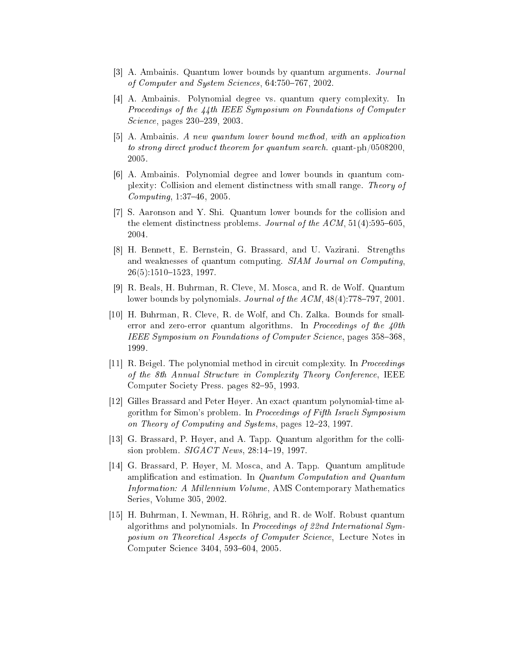- <span id="page-23-4"></span><span id="page-23-1"></span>[3] A. Ambainis. Quantum lower bounds by quantum arguments. Journal of Computer and System Sciences, 64:750-767, 2002.
- [4] A. Ambainis. Polynomial degree vs. quantum query complexity. In Proceedings of the  $\lambda\lambda$ th IEEE Symposium on Foundations of Computer Science, pages 230–239, 2003.
- <span id="page-23-5"></span> $[5]$  A. Ambainis. A new quantum lower bound method, with an application to strong direct product theorem for quantum search, quant-ph/0508200. 2005.
- <span id="page-23-9"></span>[6] A. Ambainis. Polynomial degree and lower bounds in quantum complexity: Collision and element distin
tness with small range. Theory of  $Computing, 1:37–46, 2005.$
- <span id="page-23-8"></span>[7] S. Aaronson and Y. Shi. Quantum lower bounds for the collision and the element distinctness problems. Journal of the  $ACM$ , 51(4):595–605. 2004.
- <span id="page-23-0"></span>[8] H. Bennett, E. Bernstein, G. Brassard, and U. Vazirani. Strengths and weaknesses of quantum computing. SIAM Journal on Computing  $26(5):1510-1523, 1997.$
- <span id="page-23-6"></span>[9] R. Beals, H. Buhrman, R. Cleve, M. Mosca, and R. de Wolf. Quantum lower bounds by polynomials. Journal of the  $ACM$ ,  $48(4)$ :778-797, 2001.
- <span id="page-23-2"></span>[10] H. Buhrman, R. Cleve, R. de Wolf, and Ch. Zalka. Bounds for smallerror and zero-error quantum algorithms. In Proceedings of the  $40th$ IEEE Symposium on Foundations of Computer Science, pages 358–368. 1999.
- <span id="page-23-7"></span>[11] R. Beigel. The polynomial method in circuit complexity. In *Proceedings* of the 8th Annual Structure in Complexity Theory Conference, IEEE Computer Society Press. pages 82–95, 1993.
- <span id="page-23-11"></span>[12] Gilles Brassard and Peter Høyer. An exact quantum polynomial-time algorithm for Simon's problem. In Pro
eedings of Fifth Israeli Symposium on Theory of Computing and Systems, pages 12–23, 1997.
- <span id="page-23-10"></span><span id="page-23-3"></span>[13] G. Brassard, P. Høyer, and A. Tapp. Quantum algorithm for the collision problem.  $SIGACT News$ ,  $28:14-19$ , 1997.
- [14] G. Brassard, P. Høyer, M. Mosca, and A. Tapp. Quantum amplitude amplification and estimation. In Quantum Computation and Quantum Information: A Millennium Volume, AMS Contemporary Mathematics Series, Volume 305, 2002.
- <span id="page-23-12"></span>[15] H. Buhrman, I. Newman, H. Röhrig, and R. de Wolf. Robust quantum algorithms and polynomials. In Proceedings of 22nd International Symposium on Theoretical Aspects of Computer Science, Lecture Notes in Computer Science 3404, 593-604, 2005.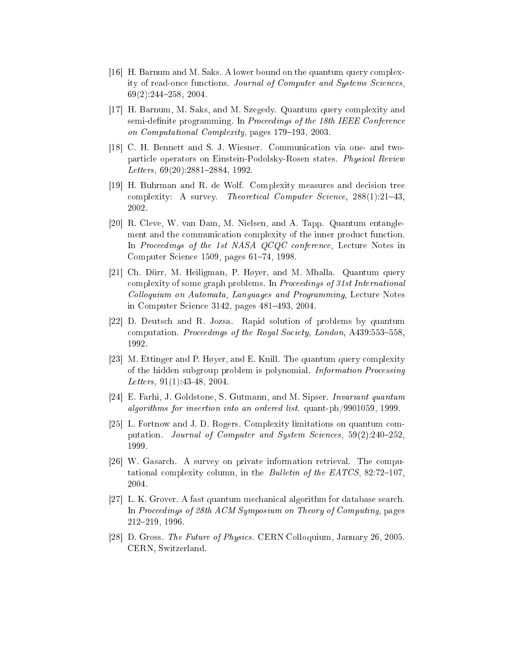- <span id="page-24-8"></span>[16] H. Barnum and M. Saks. A lower bound on the quantum query complexity of read-once functions. Journal of Computer and Systems Sciences. 69(2):244258, 2004.
- <span id="page-24-9"></span>[17] H. Barnum, M. Saks, and M. Szegedy. Quantum query complexity and semi-definite programming. In Proceedings of the 18th IEEE Conference on Computational Complexity, pages 179-193, 2003.
- <span id="page-24-5"></span>[18] C. H. Bennett and S. J. Wiesner. Communication via one- and twoparticle operators on Einstein-Podolsky-Rosen states. Physical Review Letters,  $69(20)$ :2881-2884, 1992.
- <span id="page-24-1"></span>[19] H. Buhrman and R. de Wolf. Complexity measures and decision tree complexity: A survey. Theoretical Computer Science,  $288(1)$ :21-43. 2002.
- <span id="page-24-4"></span>[20] R. Cleve, W. van Dam, M. Nielsen, and A. Tapp. Quantum entanglement and the communication complexity of the inner product function. In Proceedings of the 1st NASA QCQC conference, Lecture Notes in Computer Science 1509, pages 61–74, 1998.
- <span id="page-24-10"></span>[21] Ch. Dürr, M. Heiligman, P. Høyer, and M. Mhalla. Quantum query complexity of some graph problems. In Proceedings of 31st International Colloquium on Automata, Languages and Programming, Lecture Notes in Computer Science 3142, pages 481-493, 2004.
- <span id="page-24-6"></span>[22] D. Deutsch and R. Jozsa. Rapid solution of problems by quantum computation. Proceedings of the Royal Society, London, A439:553-558. 1992.
- <span id="page-24-3"></span>[23] M. Ettinger and P. Høyer, and E. Knill. The quantum query complexity of the hidden subgroup problem is polynomial. *Information Processing* Letters, 91(1):43-48, 2004.
- <span id="page-24-11"></span><span id="page-24-7"></span>[24] E. Farhi, J. Goldstone, S. Gutmann, and M. Sipser. *Invariant quantum* algorithms for insertion into an ordered list. quant-ph/9901059, 1999.
- [25] L. Fortnow and J. D. Rogers. Complexity limitations on quantum computation. Journal of Computer and System Sciences, 59(2):240-252. 1999.
- <span id="page-24-12"></span>[26] W. Gasarch. A survey on private information retrieval. The computational complexity column, in the *Bulletin of the EATCS*,  $82:72-107$ , 2004.
- <span id="page-24-2"></span>[27] L. K. Grover. A fast quantum mechanical algorithm for database search. In Proceedings of 28th ACM Symposium on Theory of Computing, pages 212219, 1996.
- <span id="page-24-0"></span>[28] D. Gross. The Future of Physics. CERN Colloquium, January 26, 2005. CERN, Switzerland.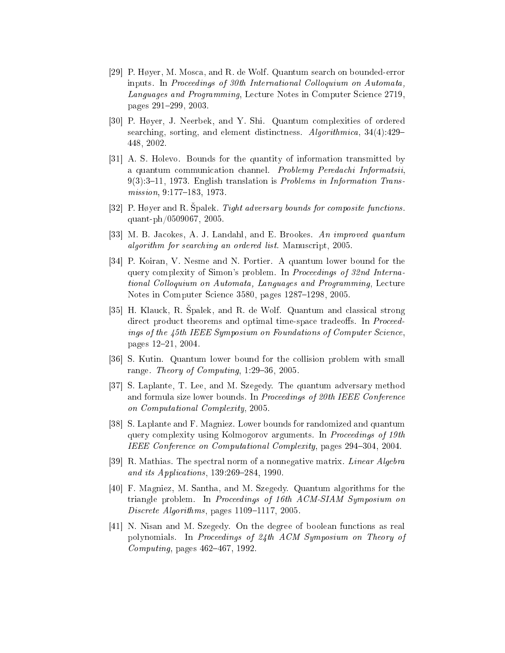- <span id="page-25-4"></span>[29] P. Høyer, M. Mosca, and R. de Wolf. Quantum search on bounded-error inputs. In Proceedings of 30th International Colloquium on Automata, Languages and Programming, Lecture Notes in Computer Science 2719. pages 291-299, 2003.
- <span id="page-25-2"></span>[30] P. Høyer, J. Neerbek, and Y. Shi. Quantum complexities of ordered searching, sorting, and element distinctness. Algorithmica, 34(4):429– 448, 2002.
- <span id="page-25-0"></span>[31] A. S. Holevo. Bounds for the quantity of information transmitted by a quantum communication channel. Problemy Peredachi Informatsii,  $9(3):3-11$ , 1973. English translation is *Problems in Information Trans* $mission, 9:177-183, 1973.$
- <span id="page-25-7"></span><span id="page-25-1"></span>[32] P. Høyer and R. Spalek. Tight adversary bounds for composite functions quant-ph/0509067, 2005.
- <span id="page-25-10"></span>[33] M. B. Jacokes, A. J. Landahl, and E. Brookes. An improved quantum algorithm for searching an ordered list. Manuscript, 2005.
- [34] P. Koiran, V. Nesme and N. Portier. A quantum lower bound for the query complexity of Simon's problem. In Proceedings of 32nd International Colloquium on Automata, Languages and Programming, Lecture Notes in Computer Science 3580, pages 1287-1298, 2005.
- <span id="page-25-8"></span>[35] H. Klauck, R. Špalek, and R. de Wolf. Quantum and classical strong direct product theorems and optimal time-space tradeoffs. In Proceedings of the 45th IEEE Symposium on Foundations of Computer Science. pages 12-21, 2004.
- <span id="page-25-9"></span><span id="page-25-6"></span>[36] S. Kutin. Quantum lower bound for the collision problem with small range. Theory of Computing,  $1:29-36$ ,  $2005$ .
- [37] S. Laplante, T. Lee, and M. Szegedy. The quantum adversary method and formula size lower bounds. In Proceedings of 20th IEEE Conference on Computational Complexity, 2005.
- <span id="page-25-5"></span>[38] S. Laplante and F. Magniez. Lower bounds for randomized and quantum query complexity using Kolmogorov arguments. In Proceedings of 19th IEEE Conferen
e on Computational Complexity, pages 294304, 2004.
- <span id="page-25-12"></span><span id="page-25-3"></span>[39] R. Mathias. The spectral norm of a nonnegative matrix. Linear Algebra and its Applications, 139:269-284, 1990.
- [40] F. Magniez, M. Santha, and M. Szegedy. Quantum algorithms for the triangle problem. In Proceedings of 16th ACM-SIAM Symposium on Discrete Algorithms, pages 1109-1117, 2005.
- <span id="page-25-11"></span>[41] N. Nisan and M. Szegedy. On the degree of boolean functions as real polynomials. In Pro
eedings of 24th ACM Symposium on Theory of  $Computing$ , pages  $462-467$ , 1992.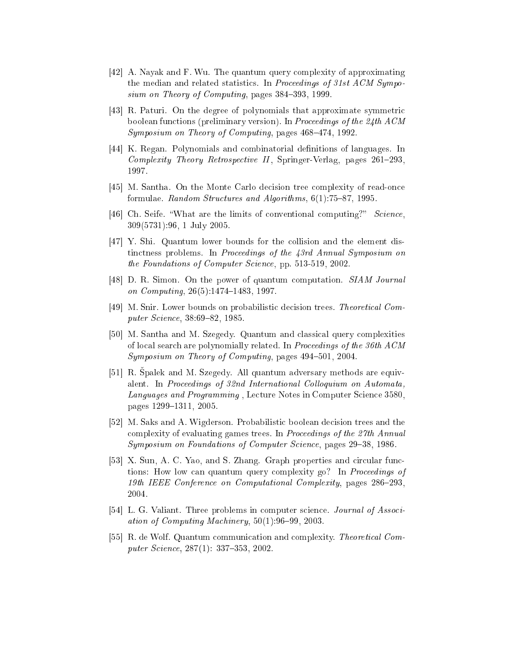- <span id="page-26-3"></span>[42] A. Nayak and F. Wu. The quantum query complexity of approximating the median and related statistics. In Proceedings of 31st  $ACM$  Symposium on Theory of Computing, pages 384-393, 1999.
- <span id="page-26-6"></span>[43] R. Paturi. On the degree of polynomials that approximate symmetric boolean functions (preliminary version). In Proceedings of the 24th ACM  $Symposium$  on Theory of Computing, pages  $468-474$ , 1992.
- <span id="page-26-5"></span>[44] K. Regan. Polynomials and combinatorial definitions of languages. In Complexity Theory Retrospective II, Springer-Verlag, pages 261-293, 1997.
- <span id="page-26-12"></span><span id="page-26-1"></span>[45] M. Santha. On the Monte Carlo decision tree complexity of read-once formulae. Random Structures and Algorithms,  $6(1)$ :75-87, 1995.
- <span id="page-26-7"></span>[46] Ch. Seife. "What are the limits of conventional computing?" Science. 309(5731):96, 1 July 2005.
- [47] Y. Shi. Quantum lower bounds for the collision and the element distinctness problems. In Proceedings of the 43rd Annual Symposium on the Foundations of Computer Science, pp. 513-519, 2002.
- <span id="page-26-11"></span><span id="page-26-8"></span>[48] D. R. Simon. On the power of quantum computation.  $SIAM$  Journal on Computing,  $26(5)$ :1474-1483, 1997.
- <span id="page-26-4"></span>[49] M. Snir. Lower bounds on probabilistic decision trees. Theoretical Computer Science, 38:69-82, 1985.
- [50] M. Santha and M. Szegedy. Quantum and classical query complexities of local search are polynomially related. In *Proceedings of the 36th ACM* Symposium on Theory of Computing, pages  $494-501$ ,  $2004$ .
- <span id="page-26-2"></span>[51] R. Spalek and M. Szegedy. All quantum adversary methods are equivalent. In Proceedings of 32nd International Colloquium on Automata, Languages and Programming, Lecture Notes in Computer Science 3580, pages 1299-1311, 2005.
- <span id="page-26-10"></span>[52] M. Saks and A. Wigderson. Probabilistic boolean decision trees and the complexity of evaluating games trees. In *Proceedings of the 27th Annual* Symposium on Foundations of Computer Science, pages 29-38, 1986.
- <span id="page-26-13"></span>[53] X. Sun, A. C. Yao, and S. Zhang. Graph properties and circular functions: How low can quantum query complexity go? In Proceedings of 19th IEEE Conference on Computational Complexity, pages 286–293, 2004.
- <span id="page-26-9"></span><span id="page-26-0"></span>[54] L. G. Valiant. Three problems in computer science. *Journal of Associ*ation of Computing Machinery,  $50(1)$ :96-99, 2003.
- [55] R. de Wolf. Quantum communication and complexity. Theoretical Computer Science, 287(1): 337-353, 2002.